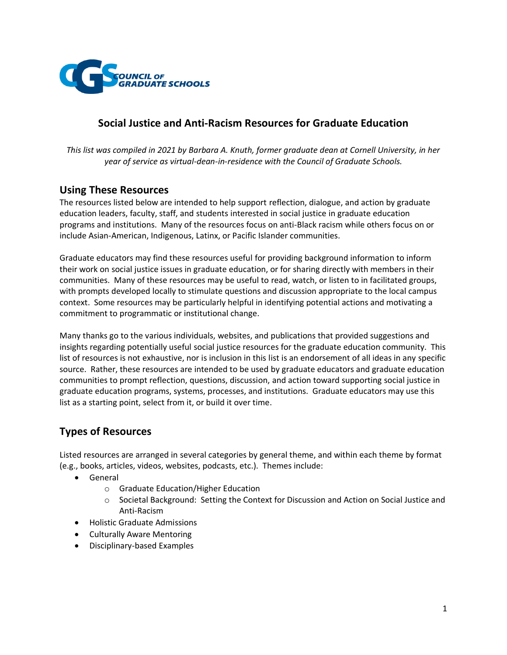

# **Social Justice and Anti-Racism Resources for Graduate Education**

*This list was compiled in 2021 by Barbara A. Knuth, former graduate dean at Cornell University, in her year of service as virtual-dean-in-residence with the Council of Graduate Schools.*

## **Using These Resources**

The resources listed below are intended to help support reflection, dialogue, and action by graduate education leaders, faculty, staff, and students interested in social justice in graduate education programs and institutions. Many of the resources focus on anti-Black racism while others focus on or include Asian-American, Indigenous, Latinx, or Pacific Islander communities.

Graduate educators may find these resources useful for providing background information to inform their work on social justice issues in graduate education, or for sharing directly with members in their communities. Many of these resources may be useful to read, watch, or listen to in facilitated groups, with prompts developed locally to stimulate questions and discussion appropriate to the local campus context. Some resources may be particularly helpful in identifying potential actions and motivating a commitment to programmatic or institutional change.

Many thanks go to the various individuals, websites, and publications that provided suggestions and insights regarding potentially useful social justice resources for the graduate education community. This list of resources is not exhaustive, nor is inclusion in this list is an endorsement of all ideas in any specific source. Rather, these resources are intended to be used by graduate educators and graduate education communities to prompt reflection, questions, discussion, and action toward supporting social justice in graduate education programs, systems, processes, and institutions. Graduate educators may use this list as a starting point, select from it, or build it over time.

# **Types of Resources**

Listed resources are arranged in several categories by general theme, and within each theme by format (e.g., books, articles, videos, websites, podcasts, etc.). Themes include:

- General
	- o Graduate Education/Higher Education
	- o Societal Background: Setting the Context for Discussion and Action on Social Justice and Anti-Racism
- Holistic Graduate Admissions
- Culturally Aware Mentoring
- Disciplinary-based Examples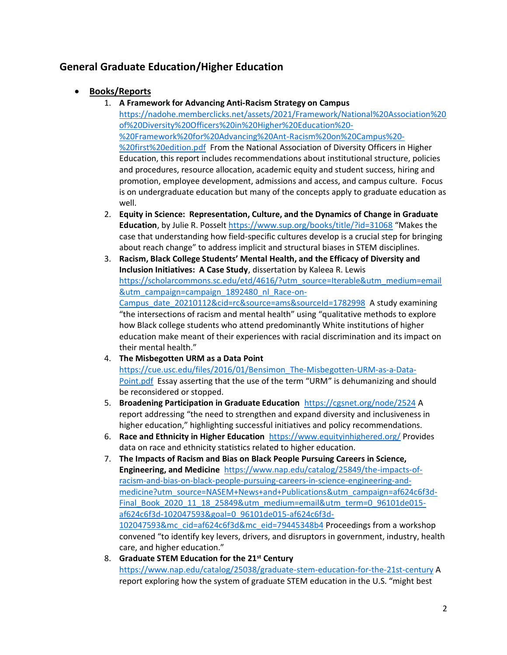# **General Graduate Education/Higher Education**

- **Books/Reports**
	- 1. **A Framework for Advancing Anti-Racism Strategy on Campus** [https://nadohe.memberclicks.net/assets/2021/Framework/National%20Association%20](https://nadohe.memberclicks.net/assets/2021/Framework/National%20Association%20of%20Diversity%20Officers%20in%20Higher%20Education%20-%20Framework%20for%20Advancing%20Ant-Racism%20on%20Campus%20-%20first%20edition.pdf) [of%20Diversity%20Officers%20in%20Higher%20Education%20-](https://nadohe.memberclicks.net/assets/2021/Framework/National%20Association%20of%20Diversity%20Officers%20in%20Higher%20Education%20-%20Framework%20for%20Advancing%20Ant-Racism%20on%20Campus%20-%20first%20edition.pdf) [%20Framework%20for%20Advancing%20Ant-Racism%20on%20Campus%20-](https://nadohe.memberclicks.net/assets/2021/Framework/National%20Association%20of%20Diversity%20Officers%20in%20Higher%20Education%20-%20Framework%20for%20Advancing%20Ant-Racism%20on%20Campus%20-%20first%20edition.pdf) [%20first%20edition.pdf](https://nadohe.memberclicks.net/assets/2021/Framework/National%20Association%20of%20Diversity%20Officers%20in%20Higher%20Education%20-%20Framework%20for%20Advancing%20Ant-Racism%20on%20Campus%20-%20first%20edition.pdf) From the National Association of Diversity Officers in Higher Education, this report includes recommendations about institutional structure, policies and procedures, resource allocation, academic equity and student success, hiring and promotion, employee development, admissions and access, and campus culture. Focus is on undergraduate education but many of the concepts apply to graduate education as well.
	- 2. **Equity in Science: Representation, Culture, and the Dynamics of Change in Graduate Education**, by Julie R. Posselt<https://www.sup.org/books/title/?id=31068> "Makes the case that understanding how field-specific cultures develop is a crucial step for bringing about reach change" to address implicit and structural biases in STEM disciplines.
	- 3. **Racism, Black College Students' Mental Health, and the Efficacy of Diversity and Inclusion Initiatives: A Case Study**, dissertation by Kaleea R. Lewis [https://scholarcommons.sc.edu/etd/4616/?utm\\_source=Iterable&utm\\_medium=email](https://scholarcommons.sc.edu/etd/4616/?utm_source=Iterable&utm_medium=email&utm_campaign=campaign_1892480_nl_Race-on-Campus_date_20210112&cid=rc&source=ams&sourceId=1782998) [&utm\\_campaign=campaign\\_1892480\\_nl\\_Race-on-](https://scholarcommons.sc.edu/etd/4616/?utm_source=Iterable&utm_medium=email&utm_campaign=campaign_1892480_nl_Race-on-Campus_date_20210112&cid=rc&source=ams&sourceId=1782998)[Campus\\_date\\_20210112&cid=rc&source=ams&sourceId=1782998](https://scholarcommons.sc.edu/etd/4616/?utm_source=Iterable&utm_medium=email&utm_campaign=campaign_1892480_nl_Race-on-Campus_date_20210112&cid=rc&source=ams&sourceId=1782998) A study examining "the intersections of racism and mental health" using "qualitative methods to explore how Black college students who attend predominantly White institutions of higher education make meant of their experiences with racial discrimination and its impact on their mental health."
	- 4. **The Misbegotten URM as a Data Point**  [https://cue.usc.edu/files/2016/01/Bensimon\\_The-Misbegotten-URM-as-a-Data-](https://cue.usc.edu/files/2016/01/Bensimon_The-Misbegotten-URM-as-a-Data-Point.pdf)[Point.pdf](https://cue.usc.edu/files/2016/01/Bensimon_The-Misbegotten-URM-as-a-Data-Point.pdf) Essay asserting that the use of the term "URM" is dehumanizing and should be reconsidered or stopped.
	- 5. **Broadening Participation in Graduate Education**<https://cgsnet.org/node/2524> A report addressing "the need to strengthen and expand diversity and inclusiveness in higher education," highlighting successful initiatives and policy recommendations.
	- 6. **Race and Ethnicity in Higher Education** <https://www.equityinhighered.org/> Provides data on race and ethnicity statistics related to higher education.
	- 7. **The Impacts of Racism and Bias on Black People Pursuing Careers in Science, Engineering, and Medicine** [https://www.nap.edu/catalog/25849/the-impacts-of](https://www.nap.edu/catalog/25849/the-impacts-of-racism-and-bias-on-black-people-pursuing-careers-in-science-engineering-and-medicine?utm_source=NASEM+News+and+Publications&utm_campaign=af624c6f3d-Final_Book_2020_11_18_25849&utm_medium=email&utm_term=0_96101de015-af624c6f3d-102047593&goal=0_96101de015-af624c6f3d-102047593&mc_cid=af624c6f3d&mc_eid=79445348b4)[racism-and-bias-on-black-people-pursuing-careers-in-science-engineering-and](https://www.nap.edu/catalog/25849/the-impacts-of-racism-and-bias-on-black-people-pursuing-careers-in-science-engineering-and-medicine?utm_source=NASEM+News+and+Publications&utm_campaign=af624c6f3d-Final_Book_2020_11_18_25849&utm_medium=email&utm_term=0_96101de015-af624c6f3d-102047593&goal=0_96101de015-af624c6f3d-102047593&mc_cid=af624c6f3d&mc_eid=79445348b4)[medicine?utm\\_source=NASEM+News+and+Publications&utm\\_campaign=af624c6f3d-](https://www.nap.edu/catalog/25849/the-impacts-of-racism-and-bias-on-black-people-pursuing-careers-in-science-engineering-and-medicine?utm_source=NASEM+News+and+Publications&utm_campaign=af624c6f3d-Final_Book_2020_11_18_25849&utm_medium=email&utm_term=0_96101de015-af624c6f3d-102047593&goal=0_96101de015-af624c6f3d-102047593&mc_cid=af624c6f3d&mc_eid=79445348b4)[Final\\_Book\\_2020\\_11\\_18\\_25849&utm\\_medium=email&utm\\_term=0\\_96101de015](https://www.nap.edu/catalog/25849/the-impacts-of-racism-and-bias-on-black-people-pursuing-careers-in-science-engineering-and-medicine?utm_source=NASEM+News+and+Publications&utm_campaign=af624c6f3d-Final_Book_2020_11_18_25849&utm_medium=email&utm_term=0_96101de015-af624c6f3d-102047593&goal=0_96101de015-af624c6f3d-102047593&mc_cid=af624c6f3d&mc_eid=79445348b4) [af624c6f3d-102047593&goal=0\\_96101de015-af624c6f3d-](https://www.nap.edu/catalog/25849/the-impacts-of-racism-and-bias-on-black-people-pursuing-careers-in-science-engineering-and-medicine?utm_source=NASEM+News+and+Publications&utm_campaign=af624c6f3d-Final_Book_2020_11_18_25849&utm_medium=email&utm_term=0_96101de015-af624c6f3d-102047593&goal=0_96101de015-af624c6f3d-102047593&mc_cid=af624c6f3d&mc_eid=79445348b4)[102047593&mc\\_cid=af624c6f3d&mc\\_eid=79445348b4](https://www.nap.edu/catalog/25849/the-impacts-of-racism-and-bias-on-black-people-pursuing-careers-in-science-engineering-and-medicine?utm_source=NASEM+News+and+Publications&utm_campaign=af624c6f3d-Final_Book_2020_11_18_25849&utm_medium=email&utm_term=0_96101de015-af624c6f3d-102047593&goal=0_96101de015-af624c6f3d-102047593&mc_cid=af624c6f3d&mc_eid=79445348b4) Proceedings from a workshop convened "to identify key levers, drivers, and disruptors in government, industry, health care, and higher education."
	- 8. **Graduate STEM Education for the 21st Century** <https://www.nap.edu/catalog/25038/graduate-stem-education-for-the-21st-century> A report exploring how the system of graduate STEM education in the U.S. "might best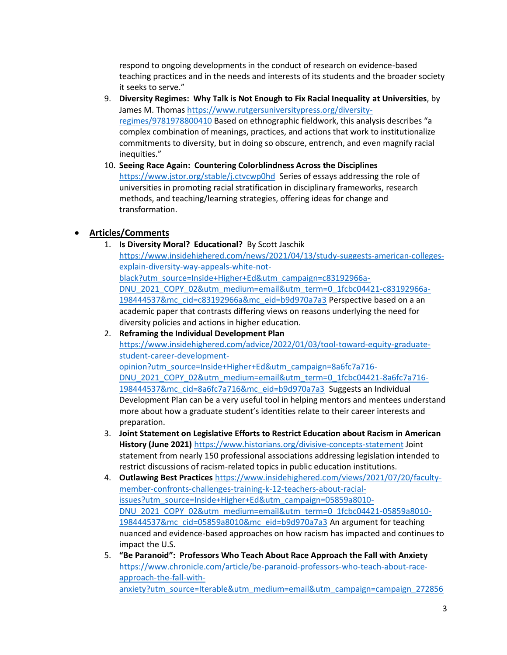respond to ongoing developments in the conduct of research on evidence-based teaching practices and in the needs and interests of its students and the broader society it seeks to serve."

- 9. **Diversity Regimes: Why Talk is Not Enough to Fix Racial Inequality at Universities**, by James M. Thomas [https://www.rutgersuniversitypress.org/diversity](https://www.rutgersuniversitypress.org/diversity-regimes/9781978800410)[regimes/9781978800410](https://www.rutgersuniversitypress.org/diversity-regimes/9781978800410) Based on ethnographic fieldwork, this analysis describes "a complex combination of meanings, practices, and actions that work to institutionalize commitments to diversity, but in doing so obscure, entrench, and even magnify racial inequities."
- 10. **Seeing Race Again: Countering Colorblindness Across the Disciplines**  <https://www.jstor.org/stable/j.ctvcwp0hd> Series of essays addressing the role of universities in promoting racial stratification in disciplinary frameworks, research methods, and teaching/learning strategies, offering ideas for change and transformation.

### • **Articles/Comments**

1. **Is Diversity Moral? Educational?** By Scott Jaschik

[https://www.insidehighered.com/news/2021/04/13/study-suggests-american-colleges](https://www.insidehighered.com/news/2021/04/13/study-suggests-american-colleges-explain-diversity-way-appeals-white-not-black?utm_source=Inside+Higher+Ed&utm_campaign=c83192966a-DNU_2021_COPY_02&utm_medium=email&utm_term=0_1fcbc04421-c83192966a-198444537&mc_cid=c83192966a&mc_eid=b9d970a7a3)[explain-diversity-way-appeals-white-not](https://www.insidehighered.com/news/2021/04/13/study-suggests-american-colleges-explain-diversity-way-appeals-white-not-black?utm_source=Inside+Higher+Ed&utm_campaign=c83192966a-DNU_2021_COPY_02&utm_medium=email&utm_term=0_1fcbc04421-c83192966a-198444537&mc_cid=c83192966a&mc_eid=b9d970a7a3)[black?utm\\_source=Inside+Higher+Ed&utm\\_campaign=c83192966a-](https://www.insidehighered.com/news/2021/04/13/study-suggests-american-colleges-explain-diversity-way-appeals-white-not-black?utm_source=Inside+Higher+Ed&utm_campaign=c83192966a-DNU_2021_COPY_02&utm_medium=email&utm_term=0_1fcbc04421-c83192966a-198444537&mc_cid=c83192966a&mc_eid=b9d970a7a3)[DNU\\_2021\\_COPY\\_02&utm\\_medium=email&utm\\_term=0\\_1fcbc04421-c83192966a-](https://www.insidehighered.com/news/2021/04/13/study-suggests-american-colleges-explain-diversity-way-appeals-white-not-black?utm_source=Inside+Higher+Ed&utm_campaign=c83192966a-DNU_2021_COPY_02&utm_medium=email&utm_term=0_1fcbc04421-c83192966a-198444537&mc_cid=c83192966a&mc_eid=b9d970a7a3)[198444537&mc\\_cid=c83192966a&mc\\_eid=b9d970a7a3](https://www.insidehighered.com/news/2021/04/13/study-suggests-american-colleges-explain-diversity-way-appeals-white-not-black?utm_source=Inside+Higher+Ed&utm_campaign=c83192966a-DNU_2021_COPY_02&utm_medium=email&utm_term=0_1fcbc04421-c83192966a-198444537&mc_cid=c83192966a&mc_eid=b9d970a7a3) Perspective based on a an academic paper that contrasts differing views on reasons underlying the need for diversity policies and actions in higher education.

- 2. **Reframing the Individual Development Plan** [https://www.insidehighered.com/advice/2022/01/03/tool-toward-equity-graduate](https://www.insidehighered.com/advice/2022/01/03/tool-toward-equity-graduate-student-career-development-opinion?utm_source=Inside+Higher+Ed&utm_campaign=8a6fc7a716-DNU_2021_COPY_02&utm_medium=email&utm_term=0_1fcbc04421-8a6fc7a716-198444537&mc_cid=8a6fc7a716&mc_eid=b9d970a7a3)[student-career-development](https://www.insidehighered.com/advice/2022/01/03/tool-toward-equity-graduate-student-career-development-opinion?utm_source=Inside+Higher+Ed&utm_campaign=8a6fc7a716-DNU_2021_COPY_02&utm_medium=email&utm_term=0_1fcbc04421-8a6fc7a716-198444537&mc_cid=8a6fc7a716&mc_eid=b9d970a7a3)[opinion?utm\\_source=Inside+Higher+Ed&utm\\_campaign=8a6fc7a716-](https://www.insidehighered.com/advice/2022/01/03/tool-toward-equity-graduate-student-career-development-opinion?utm_source=Inside+Higher+Ed&utm_campaign=8a6fc7a716-DNU_2021_COPY_02&utm_medium=email&utm_term=0_1fcbc04421-8a6fc7a716-198444537&mc_cid=8a6fc7a716&mc_eid=b9d970a7a3) [DNU\\_2021\\_COPY\\_02&utm\\_medium=email&utm\\_term=0\\_1fcbc04421-8a6fc7a716-](https://www.insidehighered.com/advice/2022/01/03/tool-toward-equity-graduate-student-career-development-opinion?utm_source=Inside+Higher+Ed&utm_campaign=8a6fc7a716-DNU_2021_COPY_02&utm_medium=email&utm_term=0_1fcbc04421-8a6fc7a716-198444537&mc_cid=8a6fc7a716&mc_eid=b9d970a7a3) [198444537&mc\\_cid=8a6fc7a716&mc\\_eid=b9d970a7a3](https://www.insidehighered.com/advice/2022/01/03/tool-toward-equity-graduate-student-career-development-opinion?utm_source=Inside+Higher+Ed&utm_campaign=8a6fc7a716-DNU_2021_COPY_02&utm_medium=email&utm_term=0_1fcbc04421-8a6fc7a716-198444537&mc_cid=8a6fc7a716&mc_eid=b9d970a7a3) Suggests an Individual Development Plan can be a very useful tool in helping mentors and mentees understand more about how a graduate student's identities relate to their career interests and preparation.
- 3. **Joint Statement on Legislative Efforts to Restrict Education about Racism in American History (June 2021)** <https://www.historians.org/divisive-concepts-statement> Joint statement from nearly 150 professional associations addressing legislation intended to restrict discussions of racism-related topics in public education institutions.
- 4. **Outlawing Best Practices** [https://www.insidehighered.com/views/2021/07/20/faculty](https://www.insidehighered.com/views/2021/07/20/faculty-member-confronts-challenges-training-k-12-teachers-about-racial-issues?utm_source=Inside+Higher+Ed&utm_campaign=05859a8010-DNU_2021_COPY_02&utm_medium=email&utm_term=0_1fcbc04421-05859a8010-198444537&mc_cid=05859a8010&mc_eid=b9d970a7a3)[member-confronts-challenges-training-k-12-teachers-about-racial](https://www.insidehighered.com/views/2021/07/20/faculty-member-confronts-challenges-training-k-12-teachers-about-racial-issues?utm_source=Inside+Higher+Ed&utm_campaign=05859a8010-DNU_2021_COPY_02&utm_medium=email&utm_term=0_1fcbc04421-05859a8010-198444537&mc_cid=05859a8010&mc_eid=b9d970a7a3)[issues?utm\\_source=Inside+Higher+Ed&utm\\_campaign=05859a8010-](https://www.insidehighered.com/views/2021/07/20/faculty-member-confronts-challenges-training-k-12-teachers-about-racial-issues?utm_source=Inside+Higher+Ed&utm_campaign=05859a8010-DNU_2021_COPY_02&utm_medium=email&utm_term=0_1fcbc04421-05859a8010-198444537&mc_cid=05859a8010&mc_eid=b9d970a7a3) [DNU\\_2021\\_COPY\\_02&utm\\_medium=email&utm\\_term=0\\_1fcbc04421-05859a8010-](https://www.insidehighered.com/views/2021/07/20/faculty-member-confronts-challenges-training-k-12-teachers-about-racial-issues?utm_source=Inside+Higher+Ed&utm_campaign=05859a8010-DNU_2021_COPY_02&utm_medium=email&utm_term=0_1fcbc04421-05859a8010-198444537&mc_cid=05859a8010&mc_eid=b9d970a7a3) [198444537&mc\\_cid=05859a8010&mc\\_eid=b9d970a7a3](https://www.insidehighered.com/views/2021/07/20/faculty-member-confronts-challenges-training-k-12-teachers-about-racial-issues?utm_source=Inside+Higher+Ed&utm_campaign=05859a8010-DNU_2021_COPY_02&utm_medium=email&utm_term=0_1fcbc04421-05859a8010-198444537&mc_cid=05859a8010&mc_eid=b9d970a7a3) An argument for teaching nuanced and evidence-based approaches on how racism has impacted and continues to impact the U.S.
- 5. **"Be Paranoid": Professors Who Teach About Race Approach the Fall with Anxiety** [https://www.chronicle.com/article/be-paranoid-professors-who-teach-about-race](https://www.chronicle.com/article/be-paranoid-professors-who-teach-about-race-approach-the-fall-with-anxiety?utm_source=Iterable&utm_medium=email&utm_campaign=campaign_2728563_nl_Academe-Today_date_20210816&cid=at&source=ams&sourceid=&cid2=gen_login_refresh)[approach-the-fall-with](https://www.chronicle.com/article/be-paranoid-professors-who-teach-about-race-approach-the-fall-with-anxiety?utm_source=Iterable&utm_medium=email&utm_campaign=campaign_2728563_nl_Academe-Today_date_20210816&cid=at&source=ams&sourceid=&cid2=gen_login_refresh)[anxiety?utm\\_source=Iterable&utm\\_medium=email&utm\\_campaign=campaign\\_272856](https://www.chronicle.com/article/be-paranoid-professors-who-teach-about-race-approach-the-fall-with-anxiety?utm_source=Iterable&utm_medium=email&utm_campaign=campaign_2728563_nl_Academe-Today_date_20210816&cid=at&source=ams&sourceid=&cid2=gen_login_refresh)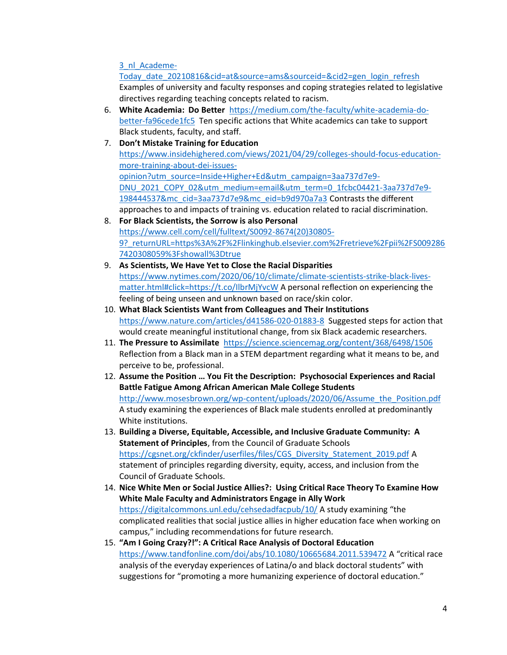[3\\_nl\\_Academe-](https://www.chronicle.com/article/be-paranoid-professors-who-teach-about-race-approach-the-fall-with-anxiety?utm_source=Iterable&utm_medium=email&utm_campaign=campaign_2728563_nl_Academe-Today_date_20210816&cid=at&source=ams&sourceid=&cid2=gen_login_refresh)

Today date 20210816&cid=at&source=ams&sourceid=&cid2=gen\_login\_refresh Examples of university and faculty responses and coping strategies related to legislative directives regarding teaching concepts related to racism.

- 6. **White Academia: Do Better** [https://medium.com/the-faculty/white-academia-do](https://medium.com/the-faculty/white-academia-do-better-fa96cede1fc5)[better-fa96cede1fc5](https://medium.com/the-faculty/white-academia-do-better-fa96cede1fc5) Ten specific actions that White academics can take to support Black students, faculty, and staff.
- 7. **Don't Mistake Training for Education**  [https://www.insidehighered.com/views/2021/04/29/colleges-should-focus-education](https://www.insidehighered.com/views/2021/04/29/colleges-should-focus-education-more-training-about-dei-issues-opinion?utm_source=Inside+Higher+Ed&utm_campaign=3aa737d7e9-DNU_2021_COPY_02&utm_medium=email&utm_term=0_1fcbc04421-3aa737d7e9-198444537&mc_cid=3aa737d7e9&mc_eid=b9d970a7a3)[more-training-about-dei-issues](https://www.insidehighered.com/views/2021/04/29/colleges-should-focus-education-more-training-about-dei-issues-opinion?utm_source=Inside+Higher+Ed&utm_campaign=3aa737d7e9-DNU_2021_COPY_02&utm_medium=email&utm_term=0_1fcbc04421-3aa737d7e9-198444537&mc_cid=3aa737d7e9&mc_eid=b9d970a7a3)[opinion?utm\\_source=Inside+Higher+Ed&utm\\_campaign=3aa737d7e9-](https://www.insidehighered.com/views/2021/04/29/colleges-should-focus-education-more-training-about-dei-issues-opinion?utm_source=Inside+Higher+Ed&utm_campaign=3aa737d7e9-DNU_2021_COPY_02&utm_medium=email&utm_term=0_1fcbc04421-3aa737d7e9-198444537&mc_cid=3aa737d7e9&mc_eid=b9d970a7a3) [DNU\\_2021\\_COPY\\_02&utm\\_medium=email&utm\\_term=0\\_1fcbc04421-3aa737d7e9-](https://www.insidehighered.com/views/2021/04/29/colleges-should-focus-education-more-training-about-dei-issues-opinion?utm_source=Inside+Higher+Ed&utm_campaign=3aa737d7e9-DNU_2021_COPY_02&utm_medium=email&utm_term=0_1fcbc04421-3aa737d7e9-198444537&mc_cid=3aa737d7e9&mc_eid=b9d970a7a3) [198444537&mc\\_cid=3aa737d7e9&mc\\_eid=b9d970a7a3](https://www.insidehighered.com/views/2021/04/29/colleges-should-focus-education-more-training-about-dei-issues-opinion?utm_source=Inside+Higher+Ed&utm_campaign=3aa737d7e9-DNU_2021_COPY_02&utm_medium=email&utm_term=0_1fcbc04421-3aa737d7e9-198444537&mc_cid=3aa737d7e9&mc_eid=b9d970a7a3) Contrasts the different approaches to and impacts of training vs. education related to racial discrimination.
- 8. **For Black Scientists, the Sorrow is also Personal** [https://www.cell.com/cell/fulltext/S0092-8674\(20\)30805-](https://www.cell.com/cell/fulltext/S0092-8674(20)30805-9?_returnURL=https%3A%2F%2Flinkinghub.elsevier.com%2Fretrieve%2Fpii%2FS0092867420308059%3Fshowall%3Dtrue) [9?\\_returnURL=https%3A%2F%2Flinkinghub.elsevier.com%2Fretrieve%2Fpii%2FS009286](https://www.cell.com/cell/fulltext/S0092-8674(20)30805-9?_returnURL=https%3A%2F%2Flinkinghub.elsevier.com%2Fretrieve%2Fpii%2FS0092867420308059%3Fshowall%3Dtrue) [7420308059%3Fshowall%3Dtrue](https://www.cell.com/cell/fulltext/S0092-8674(20)30805-9?_returnURL=https%3A%2F%2Flinkinghub.elsevier.com%2Fretrieve%2Fpii%2FS0092867420308059%3Fshowall%3Dtrue)
- 9. **As Scientists, We Have Yet to Close the Racial Disparities** [https://www.nytimes.com/2020/06/10/climate/climate-scientists-strike-black-lives](https://www.nytimes.com/2020/06/10/climate/climate-scientists-strike-black-lives-matter.html#click=https://t.co/IlbrMjYvcW)[matter.html#click=https://t.co/IlbrMjYvcW](https://www.nytimes.com/2020/06/10/climate/climate-scientists-strike-black-lives-matter.html#click=https://t.co/IlbrMjYvcW) A personal reflection on experiencing the feeling of being unseen and unknown based on race/skin color.
- 10. **What Black Scientists Want from Colleagues and Their Institutions** <https://www.nature.com/articles/d41586-020-01883-8> Suggested steps for action that would create meaningful institutional change, from six Black academic researchers.
- 11. **The Pressure to Assimilate** <https://science.sciencemag.org/content/368/6498/1506> Reflection from a Black man in a STEM department regarding what it means to be, and perceive to be, professional.
- 12. **Assume the Position … You Fit the Description: Psychosocial Experiences and Racial Battle Fatigue Among African American Male College Students** [http://www.mosesbrown.org/wp-content/uploads/2020/06/Assume\\_the\\_Position.pdf](http://www.mosesbrown.org/wp-content/uploads/2020/06/Assume_the_Position.pdf) A study examining the experiences of Black male students enrolled at predominantly White institutions.
- 13. **Building a Diverse, Equitable, Accessible, and Inclusive Graduate Community: A Statement of Principles**, from the Council of Graduate Schools [https://cgsnet.org/ckfinder/userfiles/files/CGS\\_Diversity\\_Statement\\_2019.pdf](https://cgsnet.org/ckfinder/userfiles/files/CGS_Diversity_Statement_2019.pdf) A statement of principles regarding diversity, equity, access, and inclusion from the Council of Graduate Schools.
- 14. **Nice White Men or Social Justice Allies?: Using Critical Race Theory To Examine How White Male Faculty and Administrators Engage in Ally Work** <https://digitalcommons.unl.edu/cehsedadfacpub/10/> A study examining "the complicated realities that social justice allies in higher education face when working on campus," including recommendations for future research.
- 15. **"Am I Going Crazy?!": A Critical Race Analysis of Doctoral Education** <https://www.tandfonline.com/doi/abs/10.1080/10665684.2011.539472> A "critical race analysis of the everyday experiences of Latina/o and black doctoral students" with suggestions for "promoting a more humanizing experience of doctoral education."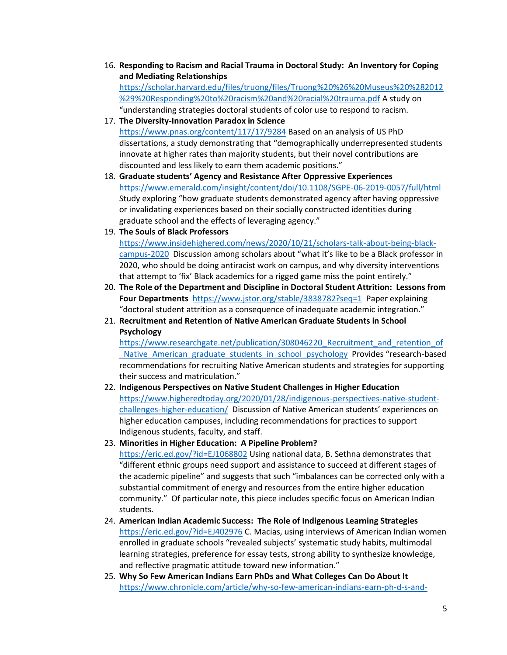16. **Responding to Racism and Racial Trauma in Doctoral Study: An Inventory for Coping and Mediating Relationships** [https://scholar.harvard.edu/files/truong/files/Truong%20%26%20Museus%20%282012](https://scholar.harvard.edu/files/truong/files/Truong%20%26%20Museus%20%282012%29%20Responding%20to%20racism%20and%20racial%20trauma.pdf)

[%29%20Responding%20to%20racism%20and%20racial%20trauma.pdf](https://scholar.harvard.edu/files/truong/files/Truong%20%26%20Museus%20%282012%29%20Responding%20to%20racism%20and%20racial%20trauma.pdf) A study on "understanding strategies doctoral students of color use to respond to racism.

- 17. **The Diversity-Innovation Paradox in Science** <https://www.pnas.org/content/117/17/9284> Based on an analysis of US PhD dissertations, a study demonstrating that "demographically underrepresented students innovate at higher rates than majority students, but their novel contributions are discounted and less likely to earn them academic positions."
- 18. **Graduate students' Agency and Resistance After Oppressive Experiences** <https://www.emerald.com/insight/content/doi/10.1108/SGPE-06-2019-0057/full/html> Study exploring "how graduate students demonstrated agency after having oppressive or invalidating experiences based on their socially constructed identities during graduate school and the effects of leveraging agency."
- 19. **The Souls of Black Professors**

[https://www.insidehighered.com/news/2020/10/21/scholars-talk-about-being-black](https://www.insidehighered.com/news/2020/10/21/scholars-talk-about-being-black-campus-2020)[campus-2020](https://www.insidehighered.com/news/2020/10/21/scholars-talk-about-being-black-campus-2020) Discussion among scholars about "what it's like to be a Black professor in 2020, who should be doing antiracist work on campus, and why diversity interventions that attempt to 'fix' Black academics for a rigged game miss the point entirely."

- 20. **The Role of the Department and Discipline in Doctoral Student Attrition: Lessons from Four Departments**<https://www.jstor.org/stable/3838782?seq=1> Paper explaining "doctoral student attrition as a consequence of inadequate academic integration."
- 21. **Recruitment and Retention of Native American Graduate Students in School Psychology**

[https://www.researchgate.net/publication/308046220\\_Recruitment\\_and\\_retention\\_of](https://www.researchgate.net/publication/308046220_Recruitment_and_retention_of_Native_American_graduate_students_in_school_psychology) Native American graduate students in school psychology Provides "research-based recommendations for recruiting Native American students and strategies for supporting their success and matriculation."

- 22. **Indigenous Perspectives on Native Student Challenges in Higher Education** [https://www.higheredtoday.org/2020/01/28/indigenous-perspectives-native-student](https://www.higheredtoday.org/2020/01/28/indigenous-perspectives-native-student-challenges-higher-education/)[challenges-higher-education/](https://www.higheredtoday.org/2020/01/28/indigenous-perspectives-native-student-challenges-higher-education/) Discussion of Native American students' experiences on higher education campuses, including recommendations for practices to support Indigenous students, faculty, and staff.
- 23. **Minorities in Higher Education: A Pipeline Problem?** <https://eric.ed.gov/?id=EJ1068802> Using national data, B. Sethna demonstrates that "different ethnic groups need support and assistance to succeed at different stages of the academic pipeline" and suggests that such "imbalances can be corrected only with a substantial commitment of energy and resources from the entire higher education community." Of particular note, this piece includes specific focus on American Indian students.
- 24. **American Indian Academic Success: The Role of Indigenous Learning Strategies** <https://eric.ed.gov/?id=EJ402976> C. Macias, using interviews of American Indian women enrolled in graduate schools "revealed subjects' systematic study habits, multimodal learning strategies, preference for essay tests, strong ability to synthesize knowledge, and reflective pragmatic attitude toward new information."
- 25. **Why So Few American Indians Earn PhDs and What Colleges Can Do About It** [https://www.chronicle.com/article/why-so-few-american-indians-earn-ph-d-s-and-](https://www.chronicle.com/article/why-so-few-american-indians-earn-ph-d-s-and-what-colleges-can-do-about-it/)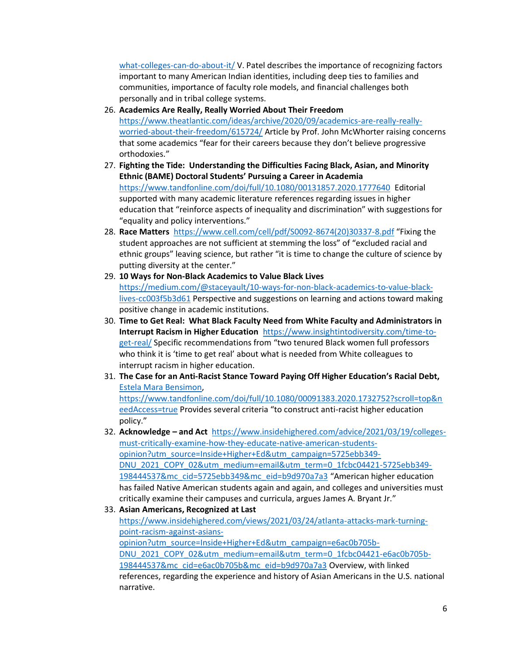[what-colleges-can-do-about-it/](https://www.chronicle.com/article/why-so-few-american-indians-earn-ph-d-s-and-what-colleges-can-do-about-it/) V. Patel describes the importance of recognizing factors important to many American Indian identities, including deep ties to families and communities, importance of faculty role models, and financial challenges both personally and in tribal college systems.

- 26. **Academics Are Really, Really Worried About Their Freedom** [https://www.theatlantic.com/ideas/archive/2020/09/academics-are-really-really](https://www.theatlantic.com/ideas/archive/2020/09/academics-are-really-really-worried-about-their-freedom/615724/)[worried-about-their-freedom/615724/](https://www.theatlantic.com/ideas/archive/2020/09/academics-are-really-really-worried-about-their-freedom/615724/) Article by Prof. John McWhorter raising concerns that some academics "fear for their careers because they don't believe progressive orthodoxies."
- 27. **Fighting the Tide: Understanding the Difficulties Facing Black, Asian, and Minority Ethnic (BAME) Doctoral Students' Pursuing a Career in Academia** <https://www.tandfonline.com/doi/full/10.1080/00131857.2020.1777640>Editorial supported with many academic literature references regarding issues in higher education that "reinforce aspects of inequality and discrimination" with suggestions for "equality and policy interventions."
- 28. **Race Matters** [https://www.cell.com/cell/pdf/S0092-8674\(20\)30337-8.pdf](https://www.cell.com/cell/pdf/S0092-8674(20)30337-8.pdf) "Fixing the student approaches are not sufficient at stemming the loss" of "excluded racial and ethnic groups" leaving science, but rather "it is time to change the culture of science by putting diversity at the center."
- 29. **10 Ways for Non-Black Academics to Value Black Lives** [https://medium.com/@staceyault/10-ways-for-non-black-academics-to-value-black](https://medium.com/@staceyault/10-ways-for-non-black-academics-to-value-black-lives-cc003f5b3d61)[lives-cc003f5b3d61](https://medium.com/@staceyault/10-ways-for-non-black-academics-to-value-black-lives-cc003f5b3d61) Perspective and suggestions on learning and actions toward making positive change in academic institutions.
- 30. **Time to Get Real: What Black Faculty Need from White Faculty and Administrators in Interrupt Racism in Higher Education** [https://www.insightintodiversity.com/time-to](https://www.insightintodiversity.com/time-to-get-real/)[get-real/](https://www.insightintodiversity.com/time-to-get-real/) Specific recommendations from "two tenured Black women full professors who think it is 'time to get real' about what is needed from White colleagues to interrupt racism in higher education.
- 31. **The Case for an Anti-Racist Stance Toward Paying Off Higher Education's Racial Debt,** [Estela Mara Bensimon,](https://www.tandfonline.com/author/Mara+Bensimon%2C+Estela) [https://www.tandfonline.com/doi/full/10.1080/00091383.2020.1732752?scroll=top&n](https://www.tandfonline.com/doi/full/10.1080/00091383.2020.1732752?scroll=top&needAccess=true) [eedAccess=true](https://www.tandfonline.com/doi/full/10.1080/00091383.2020.1732752?scroll=top&needAccess=true) Provides several criteria "to construct anti-racist higher education policy."
- 32. **Acknowledge – and Act** [https://www.insidehighered.com/advice/2021/03/19/colleges](https://www.insidehighered.com/advice/2021/03/19/colleges-must-critically-examine-how-they-educate-native-american-students-opinion?utm_source=Inside+Higher+Ed&utm_campaign=5725ebb349-DNU_2021_COPY_02&utm_medium=email&utm_term=0_1fcbc04421-5725ebb349-198444537&mc_cid=5725ebb349&mc_eid=b9d970a7a3)[must-critically-examine-how-they-educate-native-american-students](https://www.insidehighered.com/advice/2021/03/19/colleges-must-critically-examine-how-they-educate-native-american-students-opinion?utm_source=Inside+Higher+Ed&utm_campaign=5725ebb349-DNU_2021_COPY_02&utm_medium=email&utm_term=0_1fcbc04421-5725ebb349-198444537&mc_cid=5725ebb349&mc_eid=b9d970a7a3)[opinion?utm\\_source=Inside+Higher+Ed&utm\\_campaign=5725ebb349-](https://www.insidehighered.com/advice/2021/03/19/colleges-must-critically-examine-how-they-educate-native-american-students-opinion?utm_source=Inside+Higher+Ed&utm_campaign=5725ebb349-DNU_2021_COPY_02&utm_medium=email&utm_term=0_1fcbc04421-5725ebb349-198444537&mc_cid=5725ebb349&mc_eid=b9d970a7a3) [DNU\\_2021\\_COPY\\_02&utm\\_medium=email&utm\\_term=0\\_1fcbc04421-5725ebb349-](https://www.insidehighered.com/advice/2021/03/19/colleges-must-critically-examine-how-they-educate-native-american-students-opinion?utm_source=Inside+Higher+Ed&utm_campaign=5725ebb349-DNU_2021_COPY_02&utm_medium=email&utm_term=0_1fcbc04421-5725ebb349-198444537&mc_cid=5725ebb349&mc_eid=b9d970a7a3) [198444537&mc\\_cid=5725ebb349&mc\\_eid=b9d970a7a3](https://www.insidehighered.com/advice/2021/03/19/colleges-must-critically-examine-how-they-educate-native-american-students-opinion?utm_source=Inside+Higher+Ed&utm_campaign=5725ebb349-DNU_2021_COPY_02&utm_medium=email&utm_term=0_1fcbc04421-5725ebb349-198444537&mc_cid=5725ebb349&mc_eid=b9d970a7a3) "American higher education has failed Native American students again and again, and colleges and universities must critically examine their campuses and curricula, argues James A. Bryant Jr."

### 33. **Asian Americans, Recognized at Last**

[https://www.insidehighered.com/views/2021/03/24/atlanta-attacks-mark-turning](https://www.insidehighered.com/views/2021/03/24/atlanta-attacks-mark-turning-point-racism-against-asians-opinion?utm_source=Inside+Higher+Ed&utm_campaign=e6ac0b705b-DNU_2021_COPY_02&utm_medium=email&utm_term=0_1fcbc04421-e6ac0b705b-198444537&mc_cid=e6ac0b705b&mc_eid=b9d970a7a3)[point-racism-against-asians-](https://www.insidehighered.com/views/2021/03/24/atlanta-attacks-mark-turning-point-racism-against-asians-opinion?utm_source=Inside+Higher+Ed&utm_campaign=e6ac0b705b-DNU_2021_COPY_02&utm_medium=email&utm_term=0_1fcbc04421-e6ac0b705b-198444537&mc_cid=e6ac0b705b&mc_eid=b9d970a7a3)

[opinion?utm\\_source=Inside+Higher+Ed&utm\\_campaign=e6ac0b705b-](https://www.insidehighered.com/views/2021/03/24/atlanta-attacks-mark-turning-point-racism-against-asians-opinion?utm_source=Inside+Higher+Ed&utm_campaign=e6ac0b705b-DNU_2021_COPY_02&utm_medium=email&utm_term=0_1fcbc04421-e6ac0b705b-198444537&mc_cid=e6ac0b705b&mc_eid=b9d970a7a3)

[DNU\\_2021\\_COPY\\_02&utm\\_medium=email&utm\\_term=0\\_1fcbc04421-e6ac0b705b-](https://www.insidehighered.com/views/2021/03/24/atlanta-attacks-mark-turning-point-racism-against-asians-opinion?utm_source=Inside+Higher+Ed&utm_campaign=e6ac0b705b-DNU_2021_COPY_02&utm_medium=email&utm_term=0_1fcbc04421-e6ac0b705b-198444537&mc_cid=e6ac0b705b&mc_eid=b9d970a7a3)[198444537&mc\\_cid=e6ac0b705b&mc\\_eid=b9d970a7a3](https://www.insidehighered.com/views/2021/03/24/atlanta-attacks-mark-turning-point-racism-against-asians-opinion?utm_source=Inside+Higher+Ed&utm_campaign=e6ac0b705b-DNU_2021_COPY_02&utm_medium=email&utm_term=0_1fcbc04421-e6ac0b705b-198444537&mc_cid=e6ac0b705b&mc_eid=b9d970a7a3) Overview, with linked references, regarding the experience and history of Asian Americans in the U.S. national narrative.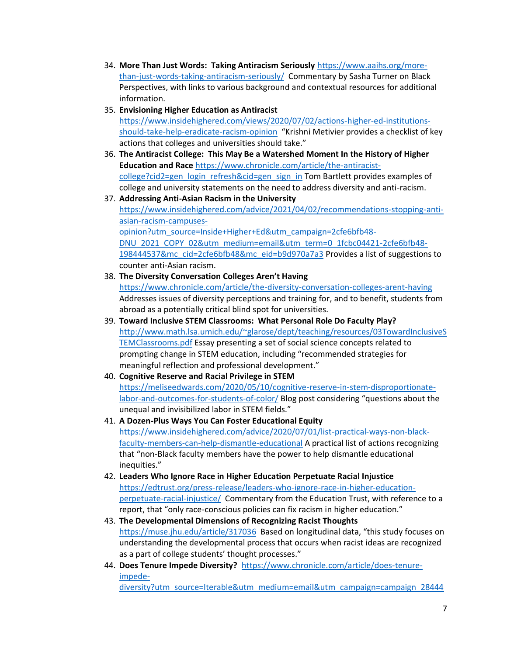- 34. **More Than Just Words: Taking Antiracism Seriously** [https://www.aaihs.org/more](https://www.aaihs.org/more-than-just-words-taking-antiracism-seriously/)[than-just-words-taking-antiracism-seriously/](https://www.aaihs.org/more-than-just-words-taking-antiracism-seriously/) Commentary by Sasha Turner on Black Perspectives, with links to various background and contextual resources for additional information.
- 35. **Envisioning Higher Education as Antiracist**  [https://www.insidehighered.com/views/2020/07/02/actions-higher-ed-institutions](https://www.insidehighered.com/views/2020/07/02/actions-higher-ed-institutions-should-take-help-eradicate-racism-opinion)[should-take-help-eradicate-racism-opinion](https://www.insidehighered.com/views/2020/07/02/actions-higher-ed-institutions-should-take-help-eradicate-racism-opinion) "Krishni Metivier provides a checklist of key actions that colleges and universities should take."
- 36. **The Antiracist College: This May Be a Watershed Moment In the History of Higher Education and Race** [https://www.chronicle.com/article/the-antiracist](https://www.chronicle.com/article/the-antiracist-college?cid2=gen_login_refresh&cid=gen_sign_in)[college?cid2=gen\\_login\\_refresh&cid=gen\\_sign\\_in](https://www.chronicle.com/article/the-antiracist-college?cid2=gen_login_refresh&cid=gen_sign_in) Tom Bartlett provides examples of college and university statements on the need to address diversity and anti-racism.
- 37. **Addressing Anti-Asian Racism in the University**  [https://www.insidehighered.com/advice/2021/04/02/recommendations-stopping-anti](https://www.insidehighered.com/advice/2021/04/02/recommendations-stopping-anti-asian-racism-campuses-opinion?utm_source=Inside+Higher+Ed&utm_campaign=2cfe6bfb48-DNU_2021_COPY_02&utm_medium=email&utm_term=0_1fcbc04421-2cfe6bfb48-198444537&mc_cid=2cfe6bfb48&mc_eid=b9d970a7a3)[asian-racism-campuses](https://www.insidehighered.com/advice/2021/04/02/recommendations-stopping-anti-asian-racism-campuses-opinion?utm_source=Inside+Higher+Ed&utm_campaign=2cfe6bfb48-DNU_2021_COPY_02&utm_medium=email&utm_term=0_1fcbc04421-2cfe6bfb48-198444537&mc_cid=2cfe6bfb48&mc_eid=b9d970a7a3)[opinion?utm\\_source=Inside+Higher+Ed&utm\\_campaign=2cfe6bfb48-](https://www.insidehighered.com/advice/2021/04/02/recommendations-stopping-anti-asian-racism-campuses-opinion?utm_source=Inside+Higher+Ed&utm_campaign=2cfe6bfb48-DNU_2021_COPY_02&utm_medium=email&utm_term=0_1fcbc04421-2cfe6bfb48-198444537&mc_cid=2cfe6bfb48&mc_eid=b9d970a7a3) [DNU\\_2021\\_COPY\\_02&utm\\_medium=email&utm\\_term=0\\_1fcbc04421-2cfe6bfb48-](https://www.insidehighered.com/advice/2021/04/02/recommendations-stopping-anti-asian-racism-campuses-opinion?utm_source=Inside+Higher+Ed&utm_campaign=2cfe6bfb48-DNU_2021_COPY_02&utm_medium=email&utm_term=0_1fcbc04421-2cfe6bfb48-198444537&mc_cid=2cfe6bfb48&mc_eid=b9d970a7a3) [198444537&mc\\_cid=2cfe6bfb48&mc\\_eid=b9d970a7a3](https://www.insidehighered.com/advice/2021/04/02/recommendations-stopping-anti-asian-racism-campuses-opinion?utm_source=Inside+Higher+Ed&utm_campaign=2cfe6bfb48-DNU_2021_COPY_02&utm_medium=email&utm_term=0_1fcbc04421-2cfe6bfb48-198444537&mc_cid=2cfe6bfb48&mc_eid=b9d970a7a3) Provides a list of suggestions to counter anti-Asian racism.
- 38. **The Diversity Conversation Colleges Aren't Having**  <https://www.chronicle.com/article/the-diversity-conversation-colleges-arent-having> Addresses issues of diversity perceptions and training for, and to benefit, students from abroad as a potentially critical blind spot for universities.
- 39. **Toward Inclusive STEM Classrooms: What Personal Role Do Faculty Play?**  [http://www.math.lsa.umich.edu/~glarose/dept/teaching/resources/03TowardInclusiveS](http://www.math.lsa.umich.edu/~glarose/dept/teaching/resources/03TowardInclusiveSTEMClassrooms.pdf) [TEMClassrooms.pdf](http://www.math.lsa.umich.edu/~glarose/dept/teaching/resources/03TowardInclusiveSTEMClassrooms.pdf) Essay presenting a set of social science concepts related to prompting change in STEM education, including "recommended strategies for meaningful reflection and professional development."
- 40. **Cognitive Reserve and Racial Privilege in STEM**  [https://meliseedwards.com/2020/05/10/cognitive-reserve-in-stem-disproportionate](https://meliseedwards.com/2020/05/10/cognitive-reserve-in-stem-disproportionate-labor-and-outcomes-for-students-of-color/)[labor-and-outcomes-for-students-of-color/](https://meliseedwards.com/2020/05/10/cognitive-reserve-in-stem-disproportionate-labor-and-outcomes-for-students-of-color/) Blog post considering "questions about the unequal and invisibilized labor in STEM fields."
- 41. **A Dozen-Plus Ways You Can Foster Educational Equity**  [https://www.insidehighered.com/advice/2020/07/01/list-practical-ways-non-black](https://www.insidehighered.com/advice/2020/07/01/list-practical-ways-non-black-faculty-members-can-help-dismantle-educational)[faculty-members-can-help-dismantle-educational](https://www.insidehighered.com/advice/2020/07/01/list-practical-ways-non-black-faculty-members-can-help-dismantle-educational) A practical list of actions recognizing that "non-Black faculty members have the power to help dismantle educational inequities."
- 42. **Leaders Who Ignore Race in Higher Education Perpetuate Racial Injustice**  [https://edtrust.org/press-release/leaders-who-ignore-race-in-higher-education](https://edtrust.org/press-release/leaders-who-ignore-race-in-higher-education-perpetuate-racial-injustice/)[perpetuate-racial-injustice/](https://edtrust.org/press-release/leaders-who-ignore-race-in-higher-education-perpetuate-racial-injustice/) Commentary from the Education Trust, with reference to a report, that "only race-conscious policies can fix racism in higher education."
- 43. **The Developmental Dimensions of Recognizing Racist Thoughts**  <https://muse.jhu.edu/article/317036> Based on longitudinal data, "this study focuses on understanding the developmental process that occurs when racist ideas are recognized as a part of college students' thought processes."
- 44. **Does Tenure Impede Diversity?** [https://www.chronicle.com/article/does-tenure](https://www.chronicle.com/article/does-tenure-impede-diversity?utm_source=Iterable&utm_medium=email&utm_campaign=campaign_2844423_nl_Academe-Today_date_20210909&cid=at&source=&sourceid=)[impede-](https://www.chronicle.com/article/does-tenure-impede-diversity?utm_source=Iterable&utm_medium=email&utm_campaign=campaign_2844423_nl_Academe-Today_date_20210909&cid=at&source=&sourceid=)

[diversity?utm\\_source=Iterable&utm\\_medium=email&utm\\_campaign=campaign\\_28444](https://www.chronicle.com/article/does-tenure-impede-diversity?utm_source=Iterable&utm_medium=email&utm_campaign=campaign_2844423_nl_Academe-Today_date_20210909&cid=at&source=&sourceid=)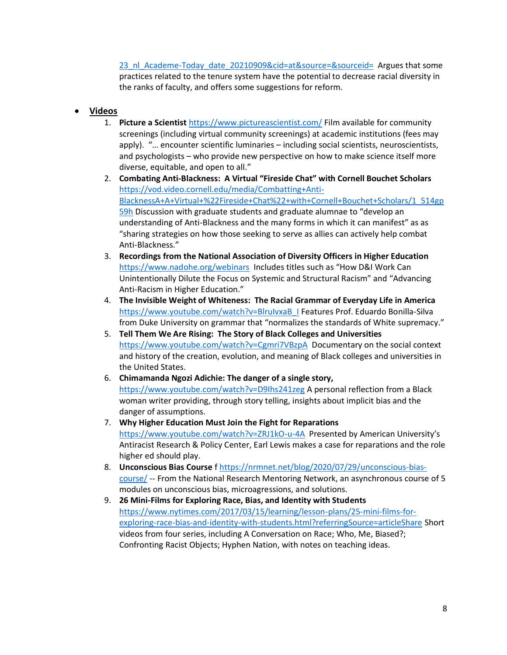[23\\_nl\\_Academe-Today\\_date\\_20210909&cid=at&source=&sourceid=](https://www.chronicle.com/article/does-tenure-impede-diversity?utm_source=Iterable&utm_medium=email&utm_campaign=campaign_2844423_nl_Academe-Today_date_20210909&cid=at&source=&sourceid=) Argues that some practices related to the tenure system have the potential to decrease racial diversity in the ranks of faculty, and offers some suggestions for reform.

### • **Videos**

- 1. **Picture a Scientist** <https://www.pictureascientist.com/> Film available for community screenings (including virtual community screenings) at academic institutions (fees may apply). "… encounter scientific luminaries – including social scientists, neuroscientists, and psychologists – who provide new perspective on how to make science itself more diverse, equitable, and open to all."
- 2. **Combating Anti-Blackness: A Virtual "Fireside Chat" with Cornell Bouchet Scholars** [https://vod.video.cornell.edu/media/Combatting+Anti-](https://vod.video.cornell.edu/media/Combatting+Anti-BlacknessA+A+Virtual+%22Fireside+Chat%22+with+Cornell+Bouchet+Scholars/1_514gp59h)[BlacknessA+A+Virtual+%22Fireside+Chat%22+with+Cornell+Bouchet+Scholars/1\\_514gp](https://vod.video.cornell.edu/media/Combatting+Anti-BlacknessA+A+Virtual+%22Fireside+Chat%22+with+Cornell+Bouchet+Scholars/1_514gp59h) [59h](https://vod.video.cornell.edu/media/Combatting+Anti-BlacknessA+A+Virtual+%22Fireside+Chat%22+with+Cornell+Bouchet+Scholars/1_514gp59h) Discussion with graduate students and graduate alumnae to "develop an understanding of Anti-Blackness and the many forms in which it can manifest" as as "sharing strategies on how those seeking to serve as allies can actively help combat Anti-Blackness."
- 3. **Recordings from the National Association of Diversity Officers in Higher Education** <https://www.nadohe.org/webinars>Includes titles such as "How D&I Work Can Unintentionally Dilute the Focus on Systemic and Structural Racism" and "Advancing Anti-Racism in Higher Education."
- 4. **The Invisible Weight of Whiteness: The Racial Grammar of Everyday Life in America** [https://www.youtube.com/watch?v=BlruIvxaB\\_I](https://www.youtube.com/watch?v=BlruIvxaB_I) Features Prof. Eduardo Bonilla-Silva from Duke University on grammar that "normalizes the standards of White supremacy."
- 5. **Tell Them We Are Rising: The Story of Black Colleges and Universities** <https://www.youtube.com/watch?v=Cgmri7VBzpA>Documentary on the social context and history of the creation, evolution, and meaning of Black colleges and universities in the United States.
- 6. **Chimamanda Ngozi Adichie: The danger of a single story,**  <https://www.youtube.com/watch?v=D9Ihs241zeg> A personal reflection from a Black woman writer providing, through story telling, insights about implicit bias and the danger of assumptions.
- 7. **Why Higher Education Must Join the Fight for Reparations**  <https://www.youtube.com/watch?v=ZRJ1kO-u-4A>Presented by American University's Antiracist Research & Policy Center, Earl Lewis makes a case for reparations and the role higher ed should play.
- 8. **Unconscious Bias Course** f [https://nrmnet.net/blog/2020/07/29/unconscious-bias](https://nrmnet.net/blog/2020/07/29/unconscious-bias-course/)[course/](https://nrmnet.net/blog/2020/07/29/unconscious-bias-course/) -- From the National Research Mentoring Network, an asynchronous course of 5 modules on unconscious bias, microagressions, and solutions.
- 9. **26 Mini-Films for Exploring Race, Bias, and Identity with Students**  [https://www.nytimes.com/2017/03/15/learning/lesson-plans/25-mini-films-for](https://www.nytimes.com/2017/03/15/learning/lesson-plans/25-mini-films-for-exploring-race-bias-and-identity-with-students.html?referringSource=articleShare)[exploring-race-bias-and-identity-with-students.html?referringSource=articleShare](https://www.nytimes.com/2017/03/15/learning/lesson-plans/25-mini-films-for-exploring-race-bias-and-identity-with-students.html?referringSource=articleShare) Short videos from four series, including A Conversation on Race; Who, Me, Biased?; Confronting Racist Objects; Hyphen Nation, with notes on teaching ideas.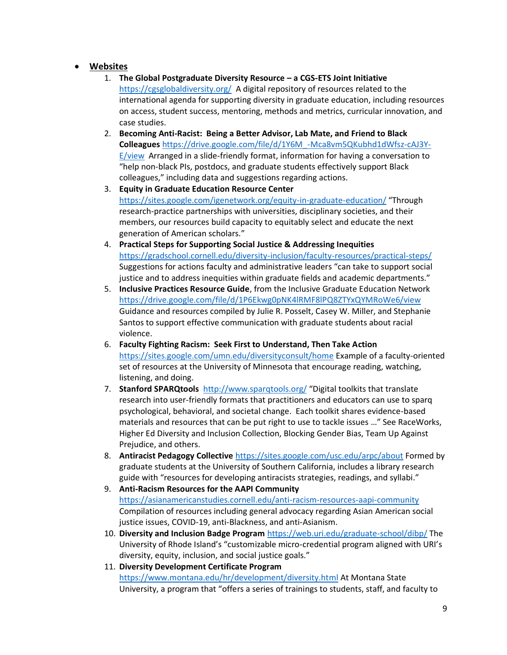## • **Websites**

- 1. **The Global Postgraduate Diversity Resource – a CGS-ETS Joint Initiative** <https://cgsglobaldiversity.org/>A digital repository of resources related to the international agenda for supporting diversity in graduate education, including resources on access, student success, mentoring, methods and metrics, curricular innovation, and case studies.
- 2. **Becoming Anti-Racist: Being a Better Advisor, Lab Mate, and Friend to Black Colleagues** [https://drive.google.com/file/d/1Y6M\\_-Mca8vm5QKubhd1dWfsz-cAJ3Y-](https://drive.google.com/file/d/1Y6M_-Mca8vm5QKubhd1dWfsz-cAJ3Y-E/view)[E/view](https://drive.google.com/file/d/1Y6M_-Mca8vm5QKubhd1dWfsz-cAJ3Y-E/view) Arranged in a slide-friendly format, information for having a conversation to "help non-black PIs, postdocs, and graduate students effectively support Black colleagues," including data and suggestions regarding actions.
- 3. **Equity in Graduate Education Resource Center** <https://sites.google.com/igenetwork.org/equity-in-graduate-education/> "Through research-practice partnerships with universities, disciplinary societies, and their members, our resources build capacity to equitably select and educate the next generation of American scholars."
- 4. **Practical Steps for Supporting Social Justice & Addressing Inequities** <https://gradschool.cornell.edu/diversity-inclusion/faculty-resources/practical-steps/> Suggestions for actions faculty and administrative leaders "can take to support social justice and to address inequities within graduate fields and academic departments."
- 5. **Inclusive Practices Resource Guide**, from the Inclusive Graduate Education Network <https://drive.google.com/file/d/1P6Ekwg0pNK4lRMF8lPQ8ZTYxQYMRoWe6/view> Guidance and resources compiled by Julie R. Posselt, Casey W. Miller, and Stephanie Santos to support effective communication with graduate students about racial violence.
- 6. **Faculty Fighting Racism: Seek First to Understand, Then Take Action** <https://sites.google.com/umn.edu/diversityconsult/home> Example of a faculty-oriented set of resources at the University of Minnesota that encourage reading, watching, listening, and doing.
- 7. **Stanford SPARQtools**<http://www.sparqtools.org/> "Digital toolkits that translate research into user-friendly formats that practitioners and educators can use to sparq psychological, behavioral, and societal change. Each toolkit shares evidence-based materials and resources that can be put right to use to tackle issues …" See RaceWorks, Higher Ed Diversity and Inclusion Collection, Blocking Gender Bias, Team Up Against Prejudice, and others.
- 8. **Antiracist Pedagogy Collective** <https://sites.google.com/usc.edu/arpc/about> Formed by graduate students at the University of Southern California, includes a library research guide with "resources for developing antiracists strategies, readings, and syllabi."
- 9. **Anti-Racism Resources for the AAPI Community** <https://asianamericanstudies.cornell.edu/anti-racism-resources-aapi-community> Compilation of resources including general advocacy regarding Asian American social justice issues, COVID-19, anti-Blackness, and anti-Asianism.
- 10. **Diversity and Inclusion Badge Program** <https://web.uri.edu/graduate-school/dibp/> The University of Rhode Island's "customizable micro-credential program aligned with URI's diversity, equity, inclusion, and social justice goals."
- 11. **Diversity Development Certificate Program** <https://www.montana.edu/hr/development/diversity.html> At Montana State University, a program that "offers a series of trainings to students, staff, and faculty to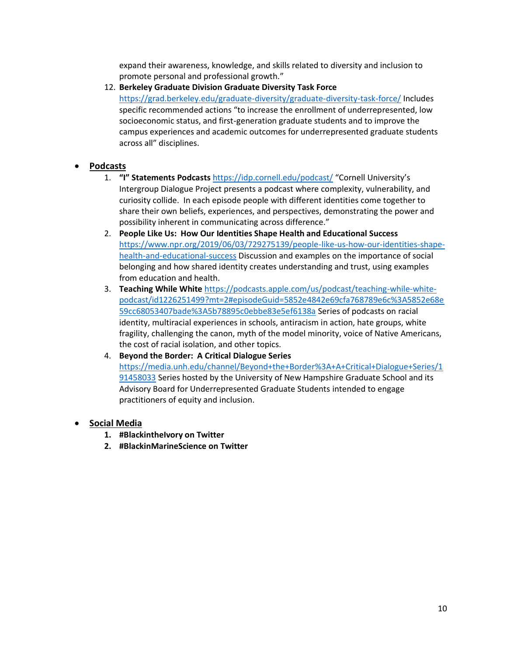expand their awareness, knowledge, and skills related to diversity and inclusion to promote personal and professional growth."

12. **Berkeley Graduate Division Graduate Diversity Task Force**

<https://grad.berkeley.edu/graduate-diversity/graduate-diversity-task-force/> Includes specific recommended actions "to increase the enrollment of underrepresented, low socioeconomic status, and first-generation graduate students and to improve the campus experiences and academic outcomes for underrepresented graduate students across all" disciplines.

### • **Podcasts**

- 1. **"I" Statements Podcasts** <https://idp.cornell.edu/podcast/> "Cornell University's Intergroup Dialogue Project presents a podcast where complexity, vulnerability, and curiosity collide. In each episode people with different identities come together to share their own beliefs, experiences, and perspectives, demonstrating the power and possibility inherent in communicating across difference."
- 2. **People Like Us: How Our Identities Shape Health and Educational Success** [https://www.npr.org/2019/06/03/729275139/people-like-us-how-our-identities-shape](https://www.npr.org/2019/06/03/729275139/people-like-us-how-our-identities-shape-health-and-educational-success)[health-and-educational-success](https://www.npr.org/2019/06/03/729275139/people-like-us-how-our-identities-shape-health-and-educational-success) Discussion and examples on the importance of social belonging and how shared identity creates understanding and trust, using examples from education and health.
- 3. **Teaching While White** [https://podcasts.apple.com/us/podcast/teaching-while-white](https://podcasts.apple.com/us/podcast/teaching-while-white-podcast/id1226251499?mt=2#episodeGuid=5852e4842e69cfa768789e6c%3A5852e68e59cc68053407bade%3A5b78895c0ebbe83e5ef6138a)[podcast/id1226251499?mt=2#episodeGuid=5852e4842e69cfa768789e6c%3A5852e68e](https://podcasts.apple.com/us/podcast/teaching-while-white-podcast/id1226251499?mt=2#episodeGuid=5852e4842e69cfa768789e6c%3A5852e68e59cc68053407bade%3A5b78895c0ebbe83e5ef6138a) [59cc68053407bade%3A5b78895c0ebbe83e5ef6138a](https://podcasts.apple.com/us/podcast/teaching-while-white-podcast/id1226251499?mt=2#episodeGuid=5852e4842e69cfa768789e6c%3A5852e68e59cc68053407bade%3A5b78895c0ebbe83e5ef6138a) Series of podcasts on racial identity, multiracial experiences in schools, antiracism in action, hate groups, white fragility, challenging the canon, myth of the model minority, voice of Native Americans, the cost of racial isolation, and other topics.

### 4. **Beyond the Border: A Critical Dialogue Series**

[https://media.unh.edu/channel/Beyond+the+Border%3A+A+Critical+Dialogue+Series/1](https://media.unh.edu/channel/Beyond+the+Border%3A+A+Critical+Dialogue+Series/191458033) [91458033](https://media.unh.edu/channel/Beyond+the+Border%3A+A+Critical+Dialogue+Series/191458033) Series hosted by the University of New Hampshire Graduate School and its Advisory Board for Underrepresented Graduate Students intended to engage practitioners of equity and inclusion.

### • **Social Media**

- **1. #BlackintheIvory on Twitter**
- **2. #BlackinMarineScience on Twitter**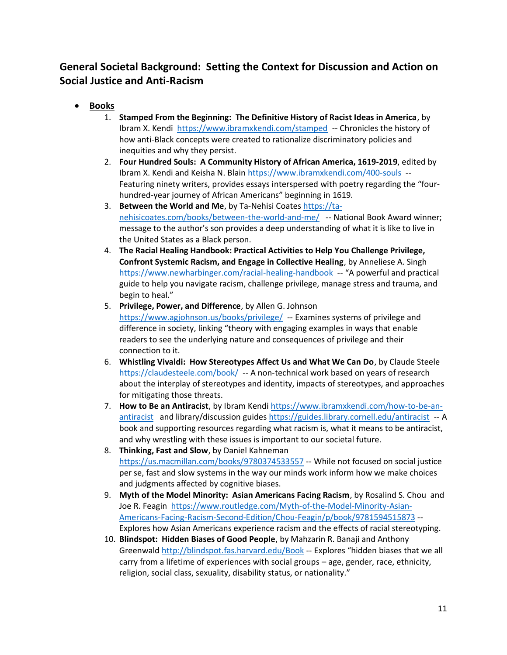# **General Societal Background: Setting the Context for Discussion and Action on Social Justice and Anti-Racism**

- **Books**
	- 1. **Stamped From the Beginning: The Definitive History of Racist Ideas in America**, by Ibram X. Kendi <https://www.ibramxkendi.com/stamped>-- Chronicles the history of how anti-Black concepts were created to rationalize discriminatory policies and inequities and why they persist.
	- 2. **Four Hundred Souls: A Community History of African America, 1619-2019**, edited by Ibram X. Kendi and Keisha N. Blain<https://www.ibramxkendi.com/400-souls>-- Featuring ninety writers, provides essays interspersed with poetry regarding the "fourhundred-year journey of African Americans" beginning in 1619.
	- 3. **Between the World and Me**, by Ta-Nehisi Coates [https://ta](https://ta-nehisicoates.com/books/between-the-world-and-me/)[nehisicoates.com/books/between-the-world-and-me/](https://ta-nehisicoates.com/books/between-the-world-and-me/) -- National Book Award winner; message to the author's son provides a deep understanding of what it is like to live in the United States as a Black person.
	- 4. **The Racial Healing Handbook: Practical Activities to Help You Challenge Privilege, Confront Systemic Racism, and Engage in Collective Healing**, by Anneliese A. Singh <https://www.newharbinger.com/racial-healing-handbook>-- "A powerful and practical guide to help you navigate racism, challenge privilege, manage stress and trauma, and begin to heal."
	- 5. **Privilege, Power, and Difference**, by Allen G. Johnson <https://www.agjohnson.us/books/privilege/>-- Examines systems of privilege and difference in society, linking "theory with engaging examples in ways that enable readers to see the underlying nature and consequences of privilege and their connection to it.
	- 6. **Whistling Vivaldi: How Stereotypes Affect Us and What We Can Do**, by Claude Steele <https://claudesteele.com/book/>-- A non-technical work based on years of research about the interplay of stereotypes and identity, impacts of stereotypes, and approaches for mitigating those threats.
	- 7. **How to Be an Antiracist**, by Ibram Kendi [https://www.ibramxkendi.com/how-to-be-an](https://www.ibramxkendi.com/how-to-be-an-antiracist)[antiracist](https://www.ibramxkendi.com/how-to-be-an-antiracist) and library/discussion guides<https://guides.library.cornell.edu/antiracist>-- A book and supporting resources regarding what racism is, what it means to be antiracist, and why wrestling with these issues is important to our societal future.
	- 8. **Thinking, Fast and Slow**, by Daniel Kahneman <https://us.macmillan.com/books/9780374533557> -- While not focused on social justice per se, fast and slow systems in the way our minds work inform how we make choices and judgments affected by cognitive biases.
	- 9. **Myth of the Model Minority: Asian Americans Facing Racism**, by Rosalind S. Chou and Joe R. Feagin [https://www.routledge.com/Myth-of-the-Model-Minority-Asian-](https://www.routledge.com/Myth-of-the-Model-Minority-Asian-Americans-Facing-Racism-Second-Edition/Chou-Feagin/p/book/9781594515873)[Americans-Facing-Racism-Second-Edition/Chou-Feagin/p/book/9781594515873](https://www.routledge.com/Myth-of-the-Model-Minority-Asian-Americans-Facing-Racism-Second-Edition/Chou-Feagin/p/book/9781594515873) -- Explores how Asian Americans experience racism and the effects of racial stereotyping.
	- 10. **Blindspot: Hidden Biases of Good People**, by Mahzarin R. Banaji and Anthony Greenwald<http://blindspot.fas.harvard.edu/Book> -- Explores "hidden biases that we all carry from a lifetime of experiences with social groups – age, gender, race, ethnicity, religion, social class, sexuality, disability status, or nationality."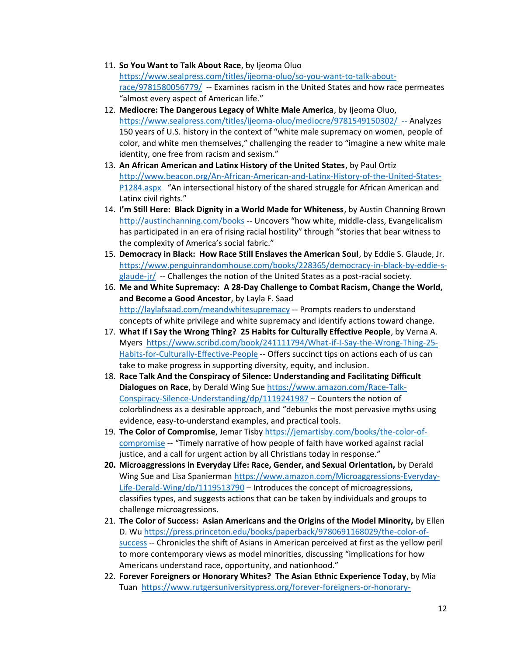- 11. **So You Want to Talk About Race**, by Ijeoma Oluo [https://www.sealpress.com/titles/ijeoma-oluo/so-you-want-to-talk-about](https://www.sealpress.com/titles/ijeoma-oluo/so-you-want-to-talk-about-race/9781580056779/)[race/9781580056779/](https://www.sealpress.com/titles/ijeoma-oluo/so-you-want-to-talk-about-race/9781580056779/) -- Examines racism in the United States and how race permeates "almost every aspect of American life."
- 12. **Mediocre: The Dangerous Legacy of White Male America**, by Ijeoma Oluo, <https://www.sealpress.com/titles/ijeoma-oluo/mediocre/9781549150302/> -- Analyzes 150 years of U.S. history in the context of "white male supremacy on women, people of color, and white men themselves," challenging the reader to "imagine a new white male identity, one free from racism and sexism."
- 13. **An African American and Latinx History of the United States**, by Paul Ortiz [http://www.beacon.org/An-African-American-and-Latinx-History-of-the-United-States-](http://www.beacon.org/An-African-American-and-Latinx-History-of-the-United-States-P1284.aspx)[P1284.aspx](http://www.beacon.org/An-African-American-and-Latinx-History-of-the-United-States-P1284.aspx) "An intersectional history of the shared struggle for African American and Latinx civil rights."
- 14. **I'm Still Here: Black Dignity in a World Made for Whiteness**, by Austin Channing Brown <http://austinchanning.com/books> -- Uncovers "how white, middle-class, Evangelicalism has participated in an era of rising racial hostility" through "stories that bear witness to the complexity of America's social fabric."
- 15. **Democracy in Black: How Race Still Enslaves the American Soul**, by Eddie S. Glaude, Jr. [https://www.penguinrandomhouse.com/books/228365/democracy-in-black-by-eddie-s](https://www.penguinrandomhouse.com/books/228365/democracy-in-black-by-eddie-s-glaude-jr/)[glaude-jr/](https://www.penguinrandomhouse.com/books/228365/democracy-in-black-by-eddie-s-glaude-jr/) -- Challenges the notion of the United States as a post-racial society.
- 16. **Me and White Supremacy: A 28-Day Challenge to Combat Racism, Change the World, and Become a Good Ancestor**, by Layla F. Saad <http://laylafsaad.com/meandwhitesupremacy> -- Prompts readers to understand concepts of white privilege and white supremacy and identify actions toward change.
- 17. **What If I Say the Wrong Thing? 25 Habits for Culturally Effective People**, by Verna A. Myers [https://www.scribd.com/book/241111794/What-if-I-Say-the-Wrong-Thing-25-](https://www.scribd.com/book/241111794/What-if-I-Say-the-Wrong-Thing-25-Habits-for-Culturally-Effective-People) [Habits-for-Culturally-Effective-People](https://www.scribd.com/book/241111794/What-if-I-Say-the-Wrong-Thing-25-Habits-for-Culturally-Effective-People) -- Offers succinct tips on actions each of us can take to make progress in supporting diversity, equity, and inclusion.
- 18. **Race Talk And the Conspiracy of Silence: Understanding and Facilitating Difficult Dialogues on Race**, by Derald Wing Su[e https://www.amazon.com/Race-Talk-](https://www.amazon.com/Race-Talk-Conspiracy-Silence-Understanding/dp/1119241987)[Conspiracy-Silence-Understanding/dp/1119241987](https://www.amazon.com/Race-Talk-Conspiracy-Silence-Understanding/dp/1119241987) – Counters the notion of colorblindness as a desirable approach, and "debunks the most pervasive myths using evidence, easy-to-understand examples, and practical tools.
- 19. **The Color of Compromise**, Jemar Tisby [https://jemartisby.com/books/the-color-of](https://jemartisby.com/books/the-color-of-compromise)[compromise](https://jemartisby.com/books/the-color-of-compromise) -- "Timely narrative of how people of faith have worked against racial justice, and a call for urgent action by all Christians today in response."
- **20. Microaggressions in Everyday Life: Race, Gender, and Sexual Orientation,** by Derald Wing Sue and Lisa Spanierman [https://www.amazon.com/Microaggressions-Everyday-](https://www.amazon.com/Microaggressions-Everyday-Life-Derald-Wing/dp/1119513790)[Life-Derald-Wing/dp/1119513790](https://www.amazon.com/Microaggressions-Everyday-Life-Derald-Wing/dp/1119513790) – Introduces the concept of microagressions, classifies types, and suggests actions that can be taken by individuals and groups to challenge microagressions.
- 21. **The Color of Success: Asian Americans and the Origins of the Model Minority,** by Ellen D. Wu [https://press.princeton.edu/books/paperback/9780691168029/the-color-of](https://press.princeton.edu/books/paperback/9780691168029/the-color-of-success)[success](https://press.princeton.edu/books/paperback/9780691168029/the-color-of-success) -- Chronicles the shift of Asians in American perceived at first as the yellow peril to more contemporary views as model minorities, discussing "implications for how Americans understand race, opportunity, and nationhood."
- 22. **Forever Foreigners or Honorary Whites? The Asian Ethnic Experience Today**, by Mia Tuan [https://www.rutgersuniversitypress.org/forever-foreigners-or-honorary-](https://www.rutgersuniversitypress.org/forever-foreigners-or-honorary-whites/9780813526249)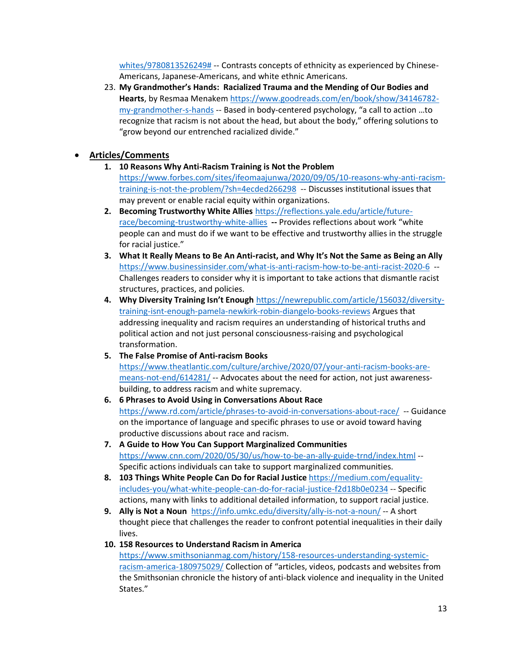[whites/9780813526249#](https://www.rutgersuniversitypress.org/forever-foreigners-or-honorary-whites/9780813526249) -- Contrasts concepts of ethnicity as experienced by Chinese-Americans, Japanese-Americans, and white ethnic Americans.

23. **My Grandmother's Hands: Racialized Trauma and the Mending of Our Bodies and Hearts**, by Resmaa Menake[m https://www.goodreads.com/en/book/show/34146782](https://www.goodreads.com/en/book/show/34146782-my-grandmother-s-hands) [my-grandmother-s-hands](https://www.goodreads.com/en/book/show/34146782-my-grandmother-s-hands) -- Based in body-centered psychology, "a call to action …to recognize that racism is not about the head, but about the body," offering solutions to "grow beyond our entrenched racialized divide."

## • **Articles/Comments**

- **1. 10 Reasons Why Anti-Racism Training is Not the Problem** [https://www.forbes.com/sites/ifeomaajunwa/2020/09/05/10-reasons-why-anti-racism](https://www.forbes.com/sites/ifeomaajunwa/2020/09/05/10-reasons-why-anti-racism-training-is-not-the-problem/?sh=4ecded266298)[training-is-not-the-problem/?sh=4ecded266298](https://www.forbes.com/sites/ifeomaajunwa/2020/09/05/10-reasons-why-anti-racism-training-is-not-the-problem/?sh=4ecded266298) -- Discusses institutional issues that may prevent or enable racial equity within organizations.
- **2. Becoming Trustworthy White Allies** [https://reflections.yale.edu/article/future](https://reflections.yale.edu/article/future-race/becoming-trustworthy-white-allies)[race/becoming-trustworthy-white-allies](https://reflections.yale.edu/article/future-race/becoming-trustworthy-white-allies) **--** Provides reflections about work "white people can and must do if we want to be effective and trustworthy allies in the struggle for racial justice."
- **3. What It Really Means to Be An Anti-racist, and Why It's Not the Same as Being an Ally** <https://www.businessinsider.com/what-is-anti-racism-how-to-be-anti-racist-2020-6>-- Challenges readers to consider why it is important to take actions that dismantle racist structures, practices, and policies.
- **4. Why Diversity Training Isn't Enough** [https://newrepublic.com/article/156032/diversity](https://newrepublic.com/article/156032/diversity-training-isnt-enough-pamela-newkirk-robin-diangelo-books-reviews)[training-isnt-enough-pamela-newkirk-robin-diangelo-books-reviews](https://newrepublic.com/article/156032/diversity-training-isnt-enough-pamela-newkirk-robin-diangelo-books-reviews) Argues that addressing inequality and racism requires an understanding of historical truths and political action and not just personal consciousness-raising and psychological transformation.
- **5. The False Promise of Anti-racism Books** [https://www.theatlantic.com/culture/archive/2020/07/your-anti-racism-books-are](https://www.theatlantic.com/culture/archive/2020/07/your-anti-racism-books-are-means-not-end/614281/)[means-not-end/614281/](https://www.theatlantic.com/culture/archive/2020/07/your-anti-racism-books-are-means-not-end/614281/) -- Advocates about the need for action, not just awarenessbuilding, to address racism and white supremacy.
- **6. 6 Phrases to Avoid Using in Conversations About Race** <https://www.rd.com/article/phrases-to-avoid-in-conversations-about-race/>-- Guidance on the importance of language and specific phrases to use or avoid toward having productive discussions about race and racism.
- **7. A Guide to How You Can Support Marginalized Communities** <https://www.cnn.com/2020/05/30/us/how-to-be-an-ally-guide-trnd/index.html> -- Specific actions individuals can take to support marginalized communities.
- **8. 103 Things White People Can Do for Racial Justice** [https://medium.com/equality](https://medium.com/equality-includes-you/what-white-people-can-do-for-racial-justice-f2d18b0e0234)[includes-you/what-white-people-can-do-for-racial-justice-f2d18b0e0234](https://medium.com/equality-includes-you/what-white-people-can-do-for-racial-justice-f2d18b0e0234) -- Specific actions, many with links to additional detailed information, to support racial justice.
- **9. Ally is Not a Noun**<https://info.umkc.edu/diversity/ally-is-not-a-noun/> -- A short thought piece that challenges the reader to confront potential inequalities in their daily lives.
- **10. 158 Resources to Understand Racism in America**

[https://www.smithsonianmag.com/history/158-resources-understanding-systemic](https://www.smithsonianmag.com/history/158-resources-understanding-systemic-racism-america-180975029/)[racism-america-180975029/](https://www.smithsonianmag.com/history/158-resources-understanding-systemic-racism-america-180975029/) Collection of "articles, videos, podcasts and websites from the Smithsonian chronicle the history of anti-black violence and inequality in the United States."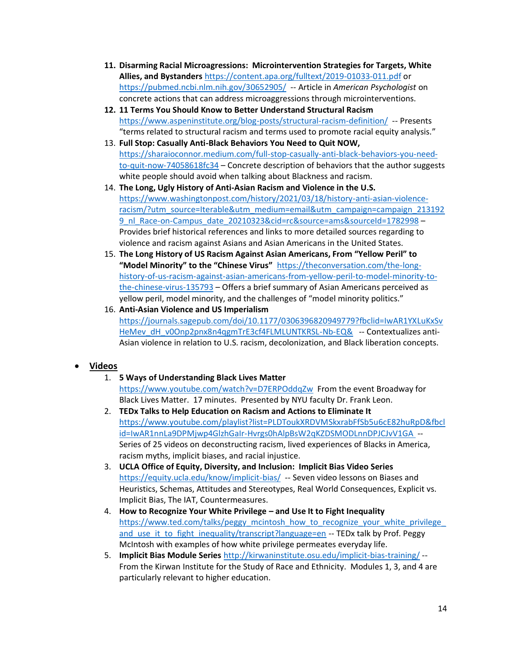- **11. Disarming Racial Microagressions: Microintervention Strategies for Targets, White Allies, and Bystanders** <https://content.apa.org/fulltext/2019-01033-011.pdf> or <https://pubmed.ncbi.nlm.nih.gov/30652905/>-- Article in *American Psychologist* on concrete actions that can address microaggressions through microinterventions.
- **12. 11 Terms You Should Know to Better Understand Structural Racism** <https://www.aspeninstitute.org/blog-posts/structural-racism-definition/>-- Presents "terms related to structural racism and terms used to promote racial equity analysis."
- 13. **Full Stop: Casually Anti-Black Behaviors You Need to Quit NOW,**  [https://sharaioconnor.medium.com/full-stop-casually-anti-black-behaviors-you-need](https://sharaioconnor.medium.com/full-stop-casually-anti-black-behaviors-you-need-to-quit-now-74058618fc34)[to-quit-now-74058618fc34](https://sharaioconnor.medium.com/full-stop-casually-anti-black-behaviors-you-need-to-quit-now-74058618fc34) – Concrete description of behaviors that the author suggests white people should avoid when talking about Blackness and racism.
- 14. **The Long, Ugly History of Anti-Asian Racism and Violence in the U.S.**  [https://www.washingtonpost.com/history/2021/03/18/history-anti-asian-violence](https://www.washingtonpost.com/history/2021/03/18/history-anti-asian-violence-racism/?utm_source=Iterable&utm_medium=email&utm_campaign=campaign_2131929_nl_Race-on-Campus_date_20210323&cid=rc&source=ams&sourceId=1782998)[racism/?utm\\_source=Iterable&utm\\_medium=email&utm\\_campaign=campaign\\_213192](https://www.washingtonpost.com/history/2021/03/18/history-anti-asian-violence-racism/?utm_source=Iterable&utm_medium=email&utm_campaign=campaign_2131929_nl_Race-on-Campus_date_20210323&cid=rc&source=ams&sourceId=1782998) 9 nl Race-on-Campus date 20210323&cid=rc&source=ams&sourceId=1782998 – Provides brief historical references and links to more detailed sources regarding to violence and racism against Asians and Asian Americans in the United States.
- 15. **The Long History of US Racism Against Asian Americans, From "Yellow Peril" to "Model Minority" to the "Chinese Virus"** [https://theconversation.com/the-long](https://theconversation.com/the-long-history-of-us-racism-against-asian-americans-from-yellow-peril-to-model-minority-to-the-chinese-virus-135793)[history-of-us-racism-against-asian-americans-from-yellow-peril-to-model-minority-to](https://theconversation.com/the-long-history-of-us-racism-against-asian-americans-from-yellow-peril-to-model-minority-to-the-chinese-virus-135793)[the-chinese-virus-135793](https://theconversation.com/the-long-history-of-us-racism-against-asian-americans-from-yellow-peril-to-model-minority-to-the-chinese-virus-135793) – Offers a brief summary of Asian Americans perceived as yellow peril, model minority, and the challenges of "model minority politics."
- 16. **Anti-Asian Violence and US Imperialism**  [https://journals.sagepub.com/doi/10.1177/0306396820949779?fbclid=IwAR1YXLuKxSv](https://journals.sagepub.com/doi/10.1177/0306396820949779?fbclid=IwAR1YXLuKxSvHeMev_dH_v0Onp2pnx8n4qgmTrE3cf4FLMLUNTKRSL-Nb-EQ&) [HeMev\\_dH\\_v0Onp2pnx8n4qgmTrE3cf4FLMLUNTKRSL-Nb-EQ&](https://journals.sagepub.com/doi/10.1177/0306396820949779?fbclid=IwAR1YXLuKxSvHeMev_dH_v0Onp2pnx8n4qgmTrE3cf4FLMLUNTKRSL-Nb-EQ&)-- Contextualizes anti-Asian violence in relation to U.S. racism, decolonization, and Black liberation concepts.

## • **Videos**

- 1. **5 Ways of Understanding Black Lives Matter** <https://www.youtube.com/watch?v=D7ERPOddqZw>From the event Broadway for Black Lives Matter. 17 minutes. Presented by NYU faculty Dr. Frank Leon.
- 2. **TEDx Talks to Help Education on Racism and Actions to Eliminate It** [https://www.youtube.com/playlist?list=PLDToukXRDVMSkxrabFfSb5u6cE82huRpD&fbcl](https://www.youtube.com/playlist?list=PLDToukXRDVMSkxrabFfSb5u6cE82huRpD&fbclid=IwAR1nnLa9DPMjwp4GlzhGaIr-Hvrgs0hAlpBsW2qKZDSMODLnnDPJCJvV1GA) [id=IwAR1nnLa9DPMjwp4GlzhGaIr-Hvrgs0hAlpBsW2qKZDSMODLnnDPJCJvV1GA](https://www.youtube.com/playlist?list=PLDToukXRDVMSkxrabFfSb5u6cE82huRpD&fbclid=IwAR1nnLa9DPMjwp4GlzhGaIr-Hvrgs0hAlpBsW2qKZDSMODLnnDPJCJvV1GA) -- Series of 25 videos on deconstructing racism, lived experiences of Blacks in America, racism myths, implicit biases, and racial injustice.
- 3. **UCLA Office of Equity, Diversity, and Inclusion: Implicit Bias Video Series** <https://equity.ucla.edu/know/implicit-bias/>-- Seven video lessons on Biases and Heuristics, Schemas, Attitudes and Stereotypes, Real World Consequences, Explicit vs. Implicit Bias, The IAT, Countermeasures.
- 4. **How to Recognize Your White Privilege – and Use It to Fight Inequality** [https://www.ted.com/talks/peggy\\_mcintosh\\_how\\_to\\_recognize\\_your\\_white\\_privilege\\_](https://www.ted.com/talks/peggy_mcintosh_how_to_recognize_your_white_privilege_and_use_it_to_fight_inequality/transcript?language=en) and use it to fight inequality/transcript?language=en -- TEDx talk by Prof. Peggy McIntosh with examples of how white privilege permeates everyday life.
- 5. **Implicit Bias Module Series** <http://kirwaninstitute.osu.edu/implicit-bias-training/> -- From the Kirwan Institute for the Study of Race and Ethnicity. Modules 1, 3, and 4 are particularly relevant to higher education.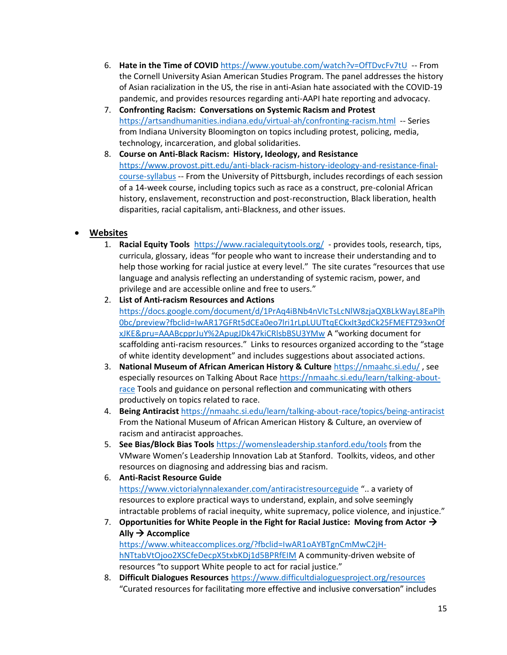- 6. **Hate in the Time of COVID** <https://www.youtube.com/watch?v=OfTDvcFv7tU>-- From the Cornell University Asian American Studies Program. The panel addresses the history of Asian racialization in the US, the rise in anti-Asian hate associated with the COVID-19 pandemic, and provides resources regarding anti-AAPI hate reporting and advocacy.
- 7. **Confronting Racism: Conversations on Systemic Racism and Protest** <https://artsandhumanities.indiana.edu/virtual-ah/confronting-racism.html>-- Series from Indiana University Bloomington on topics including protest, policing, media, technology, incarceration, and global solidarities.
- 8. **Course on Anti-Black Racism: History, Ideology, and Resistance**  [https://www.provost.pitt.edu/anti-black-racism-history-ideology-and-resistance-final](https://www.provost.pitt.edu/anti-black-racism-history-ideology-and-resistance-final-course-syllabus)[course-syllabus](https://www.provost.pitt.edu/anti-black-racism-history-ideology-and-resistance-final-course-syllabus) -- From the University of Pittsburgh, includes recordings of each session of a 14-week course, including topics such as race as a construct, pre-colonial African history, enslavement, reconstruction and post-reconstruction, Black liberation, health disparities, racial capitalism, anti-Blackness, and other issues.

## • **Websites**

- 1. **Racial Equity Tools**<https://www.racialequitytools.org/> provides tools, research, tips, curricula, glossary, ideas "for people who want to increase their understanding and to help those working for racial justice at every level." The site curates "resources that use language and analysis reflecting an understanding of systemic racism, power, and privilege and are accessible online and free to users."
- 2. **List of Anti-racism Resources and Actions**  [https://docs.google.com/document/d/1PrAq4iBNb4nVIcTsLcNlW8zjaQXBLkWayL8EaPlh](https://docs.google.com/document/d/1PrAq4iBNb4nVIcTsLcNlW8zjaQXBLkWayL8EaPlh0bc/preview?fbclid=IwAR17GFRt5dCEa0eo7lri1rLpLUUTtqECkxIt3gdCk25FMEFTZ93xnOfxJKE&pru=AAABcpprJuY%2ApugJDk47kiCRlsbBSU3YMw) [0bc/preview?fbclid=IwAR17GFRt5dCEa0eo7lri1rLpLUUTtqECkxIt3gdCk25FMEFTZ93xnOf](https://docs.google.com/document/d/1PrAq4iBNb4nVIcTsLcNlW8zjaQXBLkWayL8EaPlh0bc/preview?fbclid=IwAR17GFRt5dCEa0eo7lri1rLpLUUTtqECkxIt3gdCk25FMEFTZ93xnOfxJKE&pru=AAABcpprJuY%2ApugJDk47kiCRlsbBSU3YMw) [xJKE&pru=AAABcpprJuY%2ApugJDk47kiCRlsbBSU3YMw](https://docs.google.com/document/d/1PrAq4iBNb4nVIcTsLcNlW8zjaQXBLkWayL8EaPlh0bc/preview?fbclid=IwAR17GFRt5dCEa0eo7lri1rLpLUUTtqECkxIt3gdCk25FMEFTZ93xnOfxJKE&pru=AAABcpprJuY%2ApugJDk47kiCRlsbBSU3YMw) A "working document for scaffolding anti-racism resources." Links to resources organized according to the "stage of white identity development" and includes suggestions about associated actions.
- 3. **National Museum of African American History & Culture** <https://nmaahc.si.edu/> , see especially resources on Talking About Race [https://nmaahc.si.edu/learn/talking-about](https://nmaahc.si.edu/learn/talking-about-race)[race](https://nmaahc.si.edu/learn/talking-about-race) Tools and guidance on personal reflection and communicating with others productively on topics related to race.
- 4. **Being Antiracist** <https://nmaahc.si.edu/learn/talking-about-race/topics/being-antiracist> From the National Museum of African American History & Culture, an overview of racism and antiracist approaches.
- 5. **See Bias/Block Bias Tools** <https://womensleadership.stanford.edu/tools> from the VMware Women's Leadership Innovation Lab at Stanford. Toolkits, videos, and other resources on diagnosing and addressing bias and racism.
- 6. **Anti-Racist Resource Guide** <https://www.victorialynnalexander.com/antiracistresourceguide> ".. a variety of resources to explore practical ways to understand, explain, and solve seemingly intractable problems of racial inequity, white supremacy, police violence, and injustice."
- 7. **Opportunities for White People in the Fight for Racial Justice: Moving from Actor** →  $\mathsf{Ally} \rightarrow \mathsf{Account}$ [https://www.whiteaccomplices.org/?fbclid=IwAR1oAYBTgnCmMwC2jH](https://www.whiteaccomplices.org/?fbclid=IwAR1oAYBTgnCmMwC2jH-hNTtabVtOjoo2XSCfeDecpX5txbKDj1d5BPRfEIM)[hNTtabVtOjoo2XSCfeDecpX5txbKDj1d5BPRfEIM](https://www.whiteaccomplices.org/?fbclid=IwAR1oAYBTgnCmMwC2jH-hNTtabVtOjoo2XSCfeDecpX5txbKDj1d5BPRfEIM) A community-driven website of

resources "to support White people to act for racial justice."

8. **Difficult Dialogues Resources** <https://www.difficultdialoguesproject.org/resources> "Curated resources for facilitating more effective and inclusive conversation" includes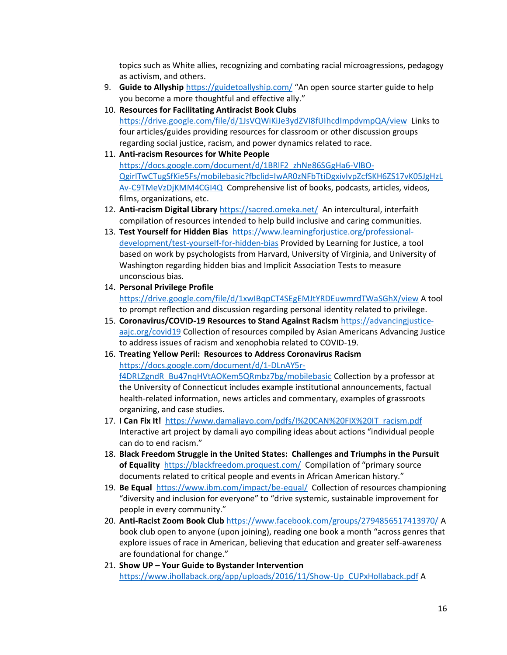topics such as White allies, recognizing and combating racial microagressions, pedagogy as activism, and others.

- 9. **Guide to Allyship** <https://guidetoallyship.com/> "An open source starter guide to help you become a more thoughtful and effective ally."
- 10. **Resources for Facilitating Antiracist Book Clubs**

<https://drive.google.com/file/d/1JsVQWiKiJe3ydZVI8fUIhcdImpdvmpQA/view>Links to four articles/guides providing resources for classroom or other discussion groups regarding social justice, racism, and power dynamics related to race.

11. **Anti-racism Resources for White People**

[https://docs.google.com/document/d/1BRlF2\\_zhNe86SGgHa6-VlBO-](https://docs.google.com/document/d/1BRlF2_zhNe86SGgHa6-VlBO-QgirITwCTugSfKie5Fs/mobilebasic?fbclid=IwAR0zNFbTtiDgxivIvpZcfSKH6ZS17vK05JgHzLAv-C9TMeVzDjKMM4CGI4Q)[QgirITwCTugSfKie5Fs/mobilebasic?fbclid=IwAR0zNFbTtiDgxivIvpZcfSKH6ZS17vK05JgHzL](https://docs.google.com/document/d/1BRlF2_zhNe86SGgHa6-VlBO-QgirITwCTugSfKie5Fs/mobilebasic?fbclid=IwAR0zNFbTtiDgxivIvpZcfSKH6ZS17vK05JgHzLAv-C9TMeVzDjKMM4CGI4Q) [Av-C9TMeVzDjKMM4CGI4Q](https://docs.google.com/document/d/1BRlF2_zhNe86SGgHa6-VlBO-QgirITwCTugSfKie5Fs/mobilebasic?fbclid=IwAR0zNFbTtiDgxivIvpZcfSKH6ZS17vK05JgHzLAv-C9TMeVzDjKMM4CGI4Q) Comprehensive list of books, podcasts, articles, videos, films, organizations, etc.

- 12. **Anti-racism Digital Library** <https://sacred.omeka.net/>An intercultural, interfaith compilation of resources intended to help build inclusive and caring communities.
- 13. **Test Yourself for Hidden Bias** [https://www.learningforjustice.org/professional](https://www.learningforjustice.org/professional-development/test-yourself-for-hidden-bias)[development/test-yourself-for-hidden-bias](https://www.learningforjustice.org/professional-development/test-yourself-for-hidden-bias) Provided by Learning for Justice, a tool based on work by psychologists from Harvard, University of Virginia, and University of Washington regarding hidden bias and Implicit Association Tests to measure unconscious bias.
- 14. **Personal Privilege Profile**

<https://drive.google.com/file/d/1xwIBqpCT4SEgEMJtYRDEuwmrdTWaSGhX/view> A tool to prompt reflection and discussion regarding personal identity related to privilege.

- 15. **Coronavirus/COVID-19 Resources to Stand Against Racism** [https://advancingjustice](https://advancingjustice-aajc.org/covid19)[aajc.org/covid19](https://advancingjustice-aajc.org/covid19) Collection of resources compiled by Asian Americans Advancing Justice to address issues of racism and xenophobia related to COVID-19.
- 16. **Treating Yellow Peril: Resources to Address Coronavirus Racism**

[https://docs.google.com/document/d/1-DLnAY5r-](https://docs.google.com/document/d/1-DLnAY5r-f4DRLZgndR_Bu47nqHVtAOKem5QRmbz7bg/mobilebasic)

[f4DRLZgndR\\_Bu47nqHVtAOKem5QRmbz7bg/mobilebasic](https://docs.google.com/document/d/1-DLnAY5r-f4DRLZgndR_Bu47nqHVtAOKem5QRmbz7bg/mobilebasic) Collection by a professor at the University of Connecticut includes example institutional announcements, factual health-related information, news articles and commentary, examples of grassroots organizing, and case studies.

- 17. **I Can Fix It!** [https://www.damaliayo.com/pdfs/I%20CAN%20FIX%20IT\\_racism.pdf](https://www.damaliayo.com/pdfs/I%20CAN%20FIX%20IT_racism.pdf) Interactive art project by damali ayo compiling ideas about actions "individual people can do to end racism."
- 18. **Black Freedom Struggle in the United States: Challenges and Triumphs in the Pursuit of Equality** <https://blackfreedom.proquest.com/>Compilation of "primary source documents related to critical people and events in African American history."
- 19. **Be Equal**<https://www.ibm.com/impact/be-equal/>Collection of resources championing "diversity and inclusion for everyone" to "drive systemic, sustainable improvement for people in every community."
- 20. **Anti-Racist Zoom Book Club** <https://www.facebook.com/groups/2794856517413970/> A book club open to anyone (upon joining), reading one book a month "across genres that explore issues of race in American, believing that education and greater self-awareness are foundational for change."
- 21. **Show UP – Your Guide to Bystander Intervention**  [https://www.ihollaback.org/app/uploads/2016/11/Show-Up\\_CUPxHollaback.pdf](https://www.ihollaback.org/app/uploads/2016/11/Show-Up_CUPxHollaback.pdf) A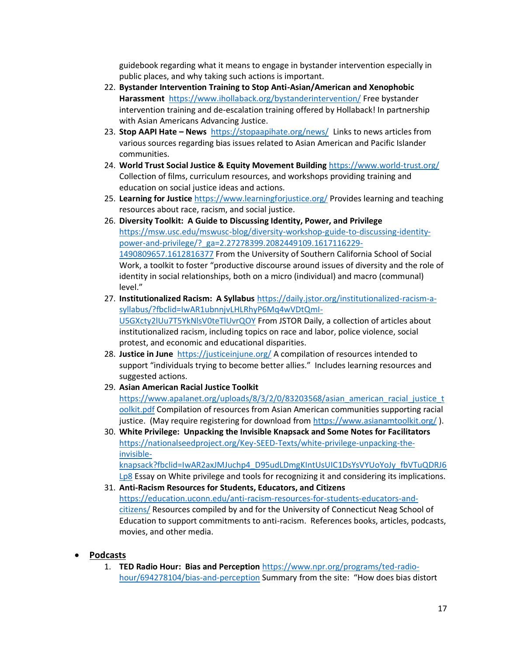guidebook regarding what it means to engage in bystander intervention especially in public places, and why taking such actions is important.

- 22. **Bystander Intervention Training to Stop Anti-Asian/American and Xenophobic Harassment** <https://www.ihollaback.org/bystanderintervention/> Free bystander intervention training and de-escalation training offered by Hollaback! In partnership with Asian Americans Advancing Justice.
- 23. **Stop AAPI Hate – News** <https://stopaapihate.org/news/> Links to news articles from various sources regarding bias issues related to Asian American and Pacific Islander communities.
- 24. **World Trust Social Justice & Equity Movement Building** <https://www.world-trust.org/> Collection of films, curriculum resources, and workshops providing training and education on social justice ideas and actions.
- 25. **Learning for Justice** <https://www.learningforjustice.org/> Provides learning and teaching resources about race, racism, and social justice.
- 26. **Diversity Toolkit: A Guide to Discussing Identity, Power, and Privilege**  [https://msw.usc.edu/mswusc-blog/diversity-workshop-guide-to-discussing-identity](https://msw.usc.edu/mswusc-blog/diversity-workshop-guide-to-discussing-identity-power-and-privilege/?_ga=2.27278399.2082449109.1617116229-1490809657.1612816377)[power-and-privilege/?\\_ga=2.27278399.2082449109.1617116229-](https://msw.usc.edu/mswusc-blog/diversity-workshop-guide-to-discussing-identity-power-and-privilege/?_ga=2.27278399.2082449109.1617116229-1490809657.1612816377) [1490809657.1612816377](https://msw.usc.edu/mswusc-blog/diversity-workshop-guide-to-discussing-identity-power-and-privilege/?_ga=2.27278399.2082449109.1617116229-1490809657.1612816377) From the University of Southern California School of Social Work, a toolkit to foster "productive discourse around issues of diversity and the role of identity in social relationships, both on a micro (individual) and macro (communal) level."
- 27. **Institutionalized Racism: A Syllabus** [https://daily.jstor.org/institutionalized-racism-a](https://daily.jstor.org/institutionalized-racism-a-syllabus/?fbclid=IwAR1ubnnjvLHLRhyP6Mq4wVDtQmI-U5GXcty2lUu7T5YkNlsV0teTlUvrQOY)[syllabus/?fbclid=IwAR1ubnnjvLHLRhyP6Mq4wVDtQmI-](https://daily.jstor.org/institutionalized-racism-a-syllabus/?fbclid=IwAR1ubnnjvLHLRhyP6Mq4wVDtQmI-U5GXcty2lUu7T5YkNlsV0teTlUvrQOY)[U5GXcty2lUu7T5YkNlsV0teTlUvrQOY](https://daily.jstor.org/institutionalized-racism-a-syllabus/?fbclid=IwAR1ubnnjvLHLRhyP6Mq4wVDtQmI-U5GXcty2lUu7T5YkNlsV0teTlUvrQOY) From JSTOR Daily, a collection of articles about institutionalized racism, including topics on race and labor, police violence, social protest, and economic and educational disparities.
- 28. **Justice in June** <https://justiceinjune.org/> A compilation of resources intended to support "individuals trying to become better allies." Includes learning resources and suggested actions.
- 29. **Asian American Racial Justice Toolkit** [https://www.apalanet.org/uploads/8/3/2/0/83203568/asian\\_american\\_racial\\_justice\\_t](https://www.apalanet.org/uploads/8/3/2/0/83203568/asian_american_racial_justice_toolkit.pdf) [oolkit.pdf](https://www.apalanet.org/uploads/8/3/2/0/83203568/asian_american_racial_justice_toolkit.pdf) Compilation of resources from Asian American communities supporting racial justice. (May require registering for download from<https://www.asianamtoolkit.org/> ).
- 30. **White Privilege: Unpacking the Invisible Knapsack and Some Notes for Facilitators**  [https://nationalseedproject.org/Key-SEED-Texts/white-privilege-unpacking-the](https://nationalseedproject.org/Key-SEED-Texts/white-privilege-unpacking-the-invisible-knapsack?fbclid=IwAR2axJMJuchp4_D95udLDmgKIntUsUIC1DsYsVYUoYoJy_fbVTuQDRJ6Lp8)[invisible](https://nationalseedproject.org/Key-SEED-Texts/white-privilege-unpacking-the-invisible-knapsack?fbclid=IwAR2axJMJuchp4_D95udLDmgKIntUsUIC1DsYsVYUoYoJy_fbVTuQDRJ6Lp8)[knapsack?fbclid=IwAR2axJMJuchp4\\_D95udLDmgKIntUsUIC1DsYsVYUoYoJy\\_fbVTuQDRJ6](https://nationalseedproject.org/Key-SEED-Texts/white-privilege-unpacking-the-invisible-knapsack?fbclid=IwAR2axJMJuchp4_D95udLDmgKIntUsUIC1DsYsVYUoYoJy_fbVTuQDRJ6Lp8) [Lp8](https://nationalseedproject.org/Key-SEED-Texts/white-privilege-unpacking-the-invisible-knapsack?fbclid=IwAR2axJMJuchp4_D95udLDmgKIntUsUIC1DsYsVYUoYoJy_fbVTuQDRJ6Lp8) Essay on White privilege and tools for recognizing it and considering its implications.
- 31. **Anti-Racism Resources for Students, Educators, and Citizens**  [https://education.uconn.edu/anti-racism-resources-for-students-educators-and](https://education.uconn.edu/anti-racism-resources-for-students-educators-and-citizens/)[citizens/](https://education.uconn.edu/anti-racism-resources-for-students-educators-and-citizens/) Resources compiled by and for the University of Connecticut Neag School of Education to support commitments to anti-racism. References books, articles, podcasts, movies, and other media.

## • **Podcasts**

1. **TED Radio Hour: Bias and Perception** [https://www.npr.org/programs/ted-radio](https://www.npr.org/programs/ted-radio-hour/694278104/bias-and-perception)[hour/694278104/bias-and-perception](https://www.npr.org/programs/ted-radio-hour/694278104/bias-and-perception) Summary from the site: "How does bias distort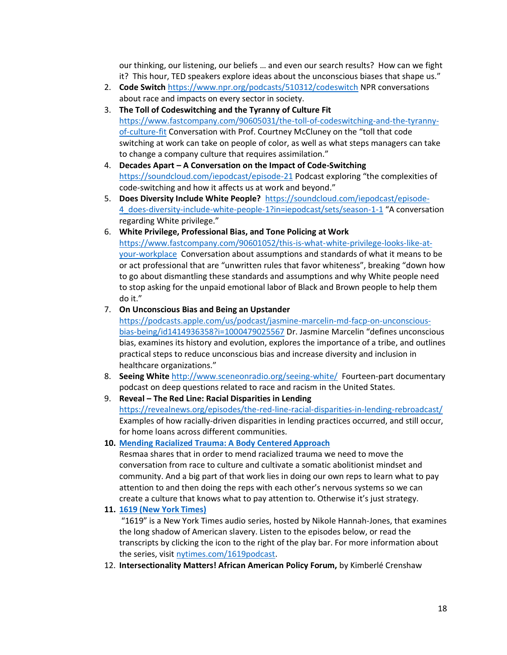our thinking, our listening, our beliefs … and even our search results? How can we fight it? This hour, TED speakers explore ideas about the unconscious biases that shape us."

- 2. **Code Switch** <https://www.npr.org/podcasts/510312/codeswitch> NPR conversations about race and impacts on every sector in society.
- 3. **The Toll of Codeswitching and the Tyranny of Culture Fit** [https://www.fastcompany.com/90605031/the-toll-of-codeswitching-and-the-tyranny](https://www.fastcompany.com/90605031/the-toll-of-codeswitching-and-the-tyranny-of-culture-fit)[of-culture-fit](https://www.fastcompany.com/90605031/the-toll-of-codeswitching-and-the-tyranny-of-culture-fit) Conversation with Prof. Courtney McCluney on the "toll that code switching at work can take on people of color, as well as what steps managers can take to change a company culture that requires assimilation."
- 4. **Decades Apart – A Conversation on the Impact of Code-Switching** <https://soundcloud.com/iepodcast/episode-21> Podcast exploring "the complexities of code-switching and how it affects us at work and beyond."
- 5. **Does Diversity Include White People?** [https://soundcloud.com/iepodcast/episode-](https://soundcloud.com/iepodcast/episode-4_does-diversity-include-white-people-1?in=iepodcast/sets/season-1-1)[4\\_does-diversity-include-white-people-1?in=iepodcast/sets/season-1-1](https://soundcloud.com/iepodcast/episode-4_does-diversity-include-white-people-1?in=iepodcast/sets/season-1-1) "A conversation regarding White privilege."
- 6. **White Privilege, Professional Bias, and Tone Policing at Work** [https://www.fastcompany.com/90601052/this-is-what-white-privilege-looks-like-at](https://www.fastcompany.com/90601052/this-is-what-white-privilege-looks-like-at-your-workplace)[your-workplace](https://www.fastcompany.com/90601052/this-is-what-white-privilege-looks-like-at-your-workplace) Conversation about assumptions and standards of what it means to be or act professional that are "unwritten rules that favor whiteness", breaking "down how to go about dismantling these standards and assumptions and why White people need to stop asking for the unpaid emotional labor of Black and Brown people to help them do it."

#### 7. **On Unconscious Bias and Being an Upstander**

[https://podcasts.apple.com/us/podcast/jasmine-marcelin-md-facp-on-unconscious](https://podcasts.apple.com/us/podcast/jasmine-marcelin-md-facp-on-unconscious-bias-being/id1414936358?i=1000479025567)[bias-being/id1414936358?i=1000479025567](https://podcasts.apple.com/us/podcast/jasmine-marcelin-md-facp-on-unconscious-bias-being/id1414936358?i=1000479025567) Dr. Jasmine Marcelin "defines unconscious bias, examines its history and evolution, explores the importance of a tribe, and outlines practical steps to reduce unconscious bias and increase diversity and inclusion in healthcare organizations."

- 8. **Seeing White** <http://www.sceneonradio.org/seeing-white/>Fourteen-part documentary podcast on deep questions related to race and racism in the United States.
- 9. **Reveal – The Red Line: Racial Disparities in Lending** <https://revealnews.org/episodes/the-red-line-racial-disparities-in-lending-rebroadcast/> Examples of how racially-driven disparities in lending practices occurred, and still occur, for home loans across different communities.

#### **10. [Mending Racialized Trauma: A Body Centered](https://connectfulness.com/episode/010-resmaa-menakem-racialized-trauma) Approach**

Resmaa shares that in order to mend racialized trauma we need to move the conversation from race to culture and cultivate a somatic abolitionist mindset and community. And a big part of that work lies in doing our own reps to learn what to pay attention to and then doing the reps with each other's nervous systems so we can create a culture that knows what to pay attention to. Otherwise it's just strategy.

**11. [1619 \(New York](https://www.nytimes.com/2020/01/23/podcasts/1619-podcast.html) Times)**

"1619" is a New York Times audio series, hosted by Nikole Hannah-Jones, that examines the long shadow of American slavery. Listen to the episodes below, or read the transcripts by clicking the icon to the right of the play bar. For more information about the series, visit [nytimes.com/1619podcast.](https://www.nytimes.com/1619podcast)

12. **Intersectionality Matters! African American Policy Forum,** by Kimberlé Crenshaw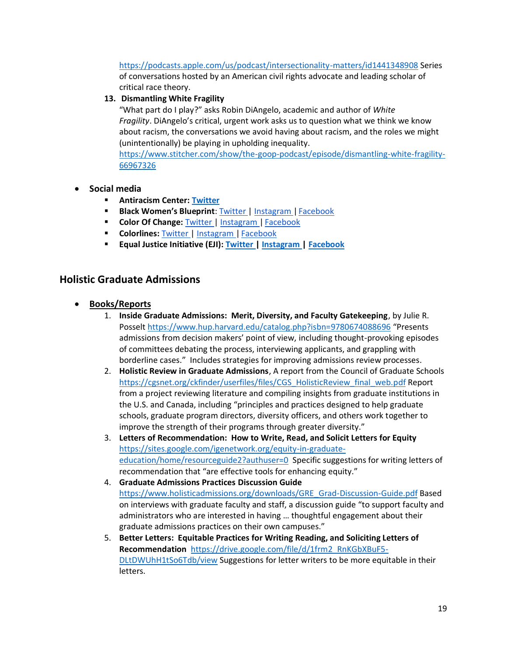<https://podcasts.apple.com/us/podcast/intersectionality-matters/id1441348908> Series of conversations hosted by an American civil rights advocate and leading scholar of critical race theory.

### **13. Dismantling White Fragility**

"What part do I play?" asks Robin DiAngelo, academic and author of *White Fragility*. DiAngelo's critical, urgent work asks us to question what we think we know about racism, the conversations we avoid having about racism, and the roles we might (unintentionally) be playing in upholding inequality.

[https://www.stitcher.com/show/the-goop-podcast/episode/dismantling-white-fragility-](https://www.stitcher.com/show/the-goop-podcast/episode/dismantling-white-fragility-66967326)[66967326](https://www.stitcher.com/show/the-goop-podcast/episode/dismantling-white-fragility-66967326)

- **Social media**
	- **Antiracism Center[: Twitter](https://twitter.com/AntiracismCtr)**
	- **E** Black Women's Blueprint[: Twitter |](https://twitter.com/blackwomensbp) [Instagram |](https://www.instagram.com/blackwomensblueprint/) [Facebook](https://www.facebook.com/blackwomens.BWBNY/)
	- **Color Of Change:** [Twitter |](http://twitter.com/colorofchange) [Instagram |](https://www.instagram.com/colorofchange/) [Facebook](https://www.facebook.com/colorofchange)
	- **Colorlines:** [Twitter |](https://twitter.com/Colorlines) [Instagram |](https://www.instagram.com/colorlinesnews/) [Facebook](https://www.facebook.com/colorlines)
	- **Equal Justice Initiative (EJI)[: Twitter |](https://twitter.com/eji_org) [Instagram |](https://www.instagram.com/eji_org/) [Facebook](https://www.facebook.com/equaljusticeinitiative)**

## **Holistic Graduate Admissions**

- **Books/Reports**
	- 1. **Inside Graduate Admissions: Merit, Diversity, and Faculty Gatekeeping**, by Julie R. Posselt<https://www.hup.harvard.edu/catalog.php?isbn=9780674088696> "Presents admissions from decision makers' point of view, including thought-provoking episodes of committees debating the process, interviewing applicants, and grappling with borderline cases." Includes strategies for improving admissions review processes.
	- 2. **Holistic Review in Graduate Admissions**, A report from the Council of Graduate Schools [https://cgsnet.org/ckfinder/userfiles/files/CGS\\_HolisticReview\\_final\\_web.pdf](https://cgsnet.org/ckfinder/userfiles/files/CGS_HolisticReview_final_web.pdf) Report from a project reviewing literature and compiling insights from graduate institutions in the U.S. and Canada, including "principles and practices designed to help graduate schools, graduate program directors, diversity officers, and others work together to improve the strength of their programs through greater diversity."
	- 3. **Letters of Recommendation: How to Write, Read, and Solicit Letters for Equity** [https://sites.google.com/igenetwork.org/equity-in-graduate](https://sites.google.com/igenetwork.org/equity-in-graduate-education/home/resourceguide2?authuser=0)[education/home/resourceguide2?authuser=0](https://sites.google.com/igenetwork.org/equity-in-graduate-education/home/resourceguide2?authuser=0) Specific suggestions for writing letters of recommendation that "are effective tools for enhancing equity."
	- 4. **Graduate Admissions Practices Discussion Guide** [https://www.holisticadmissions.org/downloads/GRE\\_Grad-Discussion-Guide.pdf](https://www.holisticadmissions.org/downloads/GRE_Grad-Discussion-Guide.pdf) Based on interviews with graduate faculty and staff, a discussion guide "to support faculty and administrators who are interested in having … thoughtful engagement about their graduate admissions practices on their own campuses."
	- 5. **Better Letters: Equitable Practices for Writing Reading, and Soliciting Letters of Recommendation** [https://drive.google.com/file/d/1frm2\\_RnKGbXBuF5-](https://drive.google.com/file/d/1frm2_RnKGbXBuF5-DLtDWUhH1tSo6Tdb/view) [DLtDWUhH1tSo6Tdb/view](https://drive.google.com/file/d/1frm2_RnKGbXBuF5-DLtDWUhH1tSo6Tdb/view) Suggestions for letter writers to be more equitable in their letters.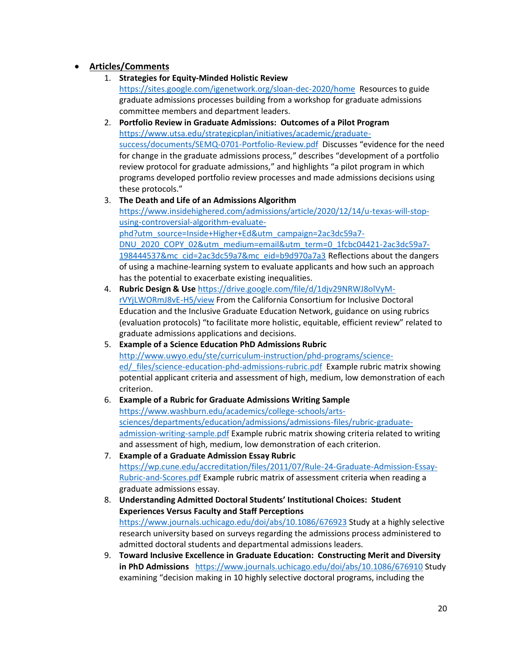## • **Articles/Comments**

- 1. **Strategies for Equity-Minded Holistic Review** <https://sites.google.com/igenetwork.org/sloan-dec-2020/home>Resources to guide graduate admissions processes building from a workshop for graduate admissions committee members and department leaders.
- 2. **Portfolio Review in Graduate Admissions: Outcomes of a Pilot Program** [https://www.utsa.edu/strategicplan/initiatives/academic/graduate](https://www.utsa.edu/strategicplan/initiatives/academic/graduate-success/documents/SEMQ-0701-Portfolio-Review.pdf)[success/documents/SEMQ-0701-Portfolio-Review.pdf](https://www.utsa.edu/strategicplan/initiatives/academic/graduate-success/documents/SEMQ-0701-Portfolio-Review.pdf) Discusses "evidence for the need for change in the graduate admissions process," describes "development of a portfolio review protocol for graduate admissions," and highlights "a pilot program in which programs developed portfolio review processes and made admissions decisions using these protocols."

## 3. **The Death and Life of an Admissions Algorithm** [https://www.insidehighered.com/admissions/article/2020/12/14/u-texas-will-stop](https://www.insidehighered.com/admissions/article/2020/12/14/u-texas-will-stop-using-controversial-algorithm-evaluate-phd?utm_source=Inside+Higher+Ed&utm_campaign=2ac3dc59a7-DNU_2020_COPY_02&utm_medium=email&utm_term=0_1fcbc04421-2ac3dc59a7-198444537&mc_cid=2ac3dc59a7&mc_eid=b9d970a7a3)[using-controversial-algorithm-evaluate-](https://www.insidehighered.com/admissions/article/2020/12/14/u-texas-will-stop-using-controversial-algorithm-evaluate-phd?utm_source=Inside+Higher+Ed&utm_campaign=2ac3dc59a7-DNU_2020_COPY_02&utm_medium=email&utm_term=0_1fcbc04421-2ac3dc59a7-198444537&mc_cid=2ac3dc59a7&mc_eid=b9d970a7a3)

[phd?utm\\_source=Inside+Higher+Ed&utm\\_campaign=2ac3dc59a7-](https://www.insidehighered.com/admissions/article/2020/12/14/u-texas-will-stop-using-controversial-algorithm-evaluate-phd?utm_source=Inside+Higher+Ed&utm_campaign=2ac3dc59a7-DNU_2020_COPY_02&utm_medium=email&utm_term=0_1fcbc04421-2ac3dc59a7-198444537&mc_cid=2ac3dc59a7&mc_eid=b9d970a7a3) [DNU\\_2020\\_COPY\\_02&utm\\_medium=email&utm\\_term=0\\_1fcbc04421-2ac3dc59a7-](https://www.insidehighered.com/admissions/article/2020/12/14/u-texas-will-stop-using-controversial-algorithm-evaluate-phd?utm_source=Inside+Higher+Ed&utm_campaign=2ac3dc59a7-DNU_2020_COPY_02&utm_medium=email&utm_term=0_1fcbc04421-2ac3dc59a7-198444537&mc_cid=2ac3dc59a7&mc_eid=b9d970a7a3) [198444537&mc\\_cid=2ac3dc59a7&mc\\_eid=b9d970a7a3](https://www.insidehighered.com/admissions/article/2020/12/14/u-texas-will-stop-using-controversial-algorithm-evaluate-phd?utm_source=Inside+Higher+Ed&utm_campaign=2ac3dc59a7-DNU_2020_COPY_02&utm_medium=email&utm_term=0_1fcbc04421-2ac3dc59a7-198444537&mc_cid=2ac3dc59a7&mc_eid=b9d970a7a3) Reflections about the dangers of using a machine-learning system to evaluate applicants and how such an approach has the potential to exacerbate existing inequalities.

- 4. **Rubric Design & Use** [https://drive.google.com/file/d/1djv29NRWJ8olVyM](https://drive.google.com/file/d/1djv29NRWJ8olVyM-rVYjLWORmJ8vE-H5/view)[rVYjLWORmJ8vE-H5/view](https://drive.google.com/file/d/1djv29NRWJ8olVyM-rVYjLWORmJ8vE-H5/view) From the California Consortium for Inclusive Doctoral Education and the Inclusive Graduate Education Network, guidance on using rubrics (evaluation protocols) "to facilitate more holistic, equitable, efficient review" related to graduate admissions applications and decisions.
- 5. **Example of a Science Education PhD Admissions Rubric** [http://www.uwyo.edu/ste/curriculum-instruction/phd-programs/science](http://www.uwyo.edu/ste/curriculum-instruction/phd-programs/science-ed/_files/science-education-phd-admissions-rubric.pdf)ed/ files/science-education-phd-admissions-rubric.pdf Example rubric matrix showing potential applicant criteria and assessment of high, medium, low demonstration of each criterion.

### 6. **Example of a Rubric for Graduate Admissions Writing Sample** [https://www.washburn.edu/academics/college-schools/arts](https://www.washburn.edu/academics/college-schools/arts-sciences/departments/education/admissions/admissions-files/rubric-graduate-admission-writing-sample.pdf)[sciences/departments/education/admissions/admissions-files/rubric-graduate](https://www.washburn.edu/academics/college-schools/arts-sciences/departments/education/admissions/admissions-files/rubric-graduate-admission-writing-sample.pdf)[admission-writing-sample.pdf](https://www.washburn.edu/academics/college-schools/arts-sciences/departments/education/admissions/admissions-files/rubric-graduate-admission-writing-sample.pdf) Example rubric matrix showing criteria related to writing and assessment of high, medium, low demonstration of each criterion.

- 7. **Example of a Graduate Admission Essay Rubric** [https://wp.cune.edu/accreditation/files/2011/07/Rule-24-Graduate-Admission-Essay-](https://wp.cune.edu/accreditation/files/2011/07/Rule-24-Graduate-Admission-Essay-Rubric-and-Scores.pdf)[Rubric-and-Scores.pdf](https://wp.cune.edu/accreditation/files/2011/07/Rule-24-Graduate-Admission-Essay-Rubric-and-Scores.pdf) Example rubric matrix of assessment criteria when reading a graduate admissions essay.
- 8. **Understanding Admitted Doctoral Students' Institutional Choices: Student Experiences Versus Faculty and Staff Perceptions** <https://www.journals.uchicago.edu/doi/abs/10.1086/676923> Study at a highly selective research university based on surveys regarding the admissions process administered to admitted doctoral students and departmental admissions leaders.
- 9. **Toward Inclusive Excellence in Graduate Education: Constructing Merit and Diversity in PhD Admissions** <https://www.journals.uchicago.edu/doi/abs/10.1086/676910> Study examining "decision making in 10 highly selective doctoral programs, including the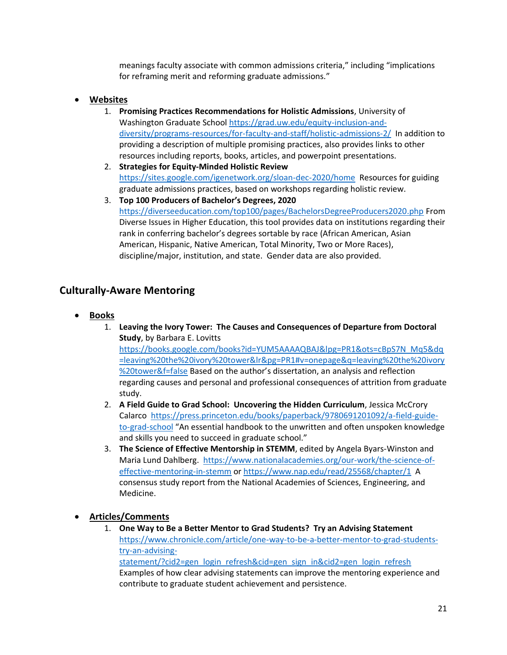meanings faculty associate with common admissions criteria," including "implications for reframing merit and reforming graduate admissions."

## • **Websites**

- 1. **Promising Practices Recommendations for Holistic Admissions**, University of Washington Graduate School [https://grad.uw.edu/equity-inclusion-and](https://grad.uw.edu/equity-inclusion-and-diversity/programs-resources/for-faculty-and-staff/holistic-admissions-2/)[diversity/programs-resources/for-faculty-and-staff/holistic-admissions-2/](https://grad.uw.edu/equity-inclusion-and-diversity/programs-resources/for-faculty-and-staff/holistic-admissions-2/) In addition to providing a description of multiple promising practices, also provides links to other resources including reports, books, articles, and powerpoint presentations.
- 2. **Strategies for Equity-Minded Holistic Review** <https://sites.google.com/igenetwork.org/sloan-dec-2020/home> Resources for guiding graduate admissions practices, based on workshops regarding holistic review.
- 3. **Top 100 Producers of Bachelor's Degrees, 2020** <https://diverseeducation.com/top100/pages/BachelorsDegreeProducers2020.php> From Diverse Issues in Higher Education, this tool provides data on institutions regarding their rank in conferring bachelor's degrees sortable by race (African American, Asian American, Hispanic, Native American, Total Minority, Two or More Races), discipline/major, institution, and state. Gender data are also provided.

# **Culturally-Aware Mentoring**

- **Books**
	- 1. **Leaving the Ivory Tower: The Causes and Consequences of Departure from Doctoral Study**, by Barbara E. Lovitts [https://books.google.com/books?id=YUM5AAAAQBAJ&lpg=PR1&ots=cBpS7N\\_Mq5&dq](https://books.google.com/books?id=YUM5AAAAQBAJ&lpg=PR1&ots=cBpS7N_Mq5&dq=leaving%20the%20ivory%20tower&lr&pg=PR1#v=onepage&q=leaving%20the%20ivory%20tower&f=false) [=leaving%20the%20ivory%20tower&lr&pg=PR1#v=onepage&q=leaving%20the%20ivory](https://books.google.com/books?id=YUM5AAAAQBAJ&lpg=PR1&ots=cBpS7N_Mq5&dq=leaving%20the%20ivory%20tower&lr&pg=PR1#v=onepage&q=leaving%20the%20ivory%20tower&f=false) [%20tower&f=false](https://books.google.com/books?id=YUM5AAAAQBAJ&lpg=PR1&ots=cBpS7N_Mq5&dq=leaving%20the%20ivory%20tower&lr&pg=PR1#v=onepage&q=leaving%20the%20ivory%20tower&f=false) Based on the author's dissertation, an analysis and reflection regarding causes and personal and professional consequences of attrition from graduate study.
	- 2. **A Field Guide to Grad School: Uncovering the Hidden Curriculum**, Jessica McCrory Calarco [https://press.princeton.edu/books/paperback/9780691201092/a-field-guide](https://press.princeton.edu/books/paperback/9780691201092/a-field-guide-to-grad-school)[to-grad-school](https://press.princeton.edu/books/paperback/9780691201092/a-field-guide-to-grad-school) "An essential handbook to the unwritten and often unspoken knowledge and skills you need to succeed in graduate school."
	- 3. **The Science of Effective Mentorship in STEMM**, edited by Angela Byars-Winston and Maria Lund Dahlberg. [https://www.nationalacademies.org/our-work/the-science-of](https://www.nationalacademies.org/our-work/the-science-of-effective-mentoring-in-stemm)[effective-mentoring-in-stemm](https://www.nationalacademies.org/our-work/the-science-of-effective-mentoring-in-stemm) or<https://www.nap.edu/read/25568/chapter/1>A consensus study report from the National Academies of Sciences, Engineering, and Medicine.
- **Articles/Comments**
	- 1. **One Way to Be a Better Mentor to Grad Students? Try an Advising Statement** [https://www.chronicle.com/article/one-way-to-be-a-better-mentor-to-grad-students](https://www.chronicle.com/article/one-way-to-be-a-better-mentor-to-grad-students-try-an-advising-statement/?cid2=gen_login_refresh&cid=gen_sign_in&cid2=gen_login_refresh)[try-an-advising](https://www.chronicle.com/article/one-way-to-be-a-better-mentor-to-grad-students-try-an-advising-statement/?cid2=gen_login_refresh&cid=gen_sign_in&cid2=gen_login_refresh)[statement/?cid2=gen\\_login\\_refresh&cid=gen\\_sign\\_in&cid2=gen\\_login\\_refresh](https://www.chronicle.com/article/one-way-to-be-a-better-mentor-to-grad-students-try-an-advising-statement/?cid2=gen_login_refresh&cid=gen_sign_in&cid2=gen_login_refresh) Examples of how clear advising statements can improve the mentoring experience and contribute to graduate student achievement and persistence.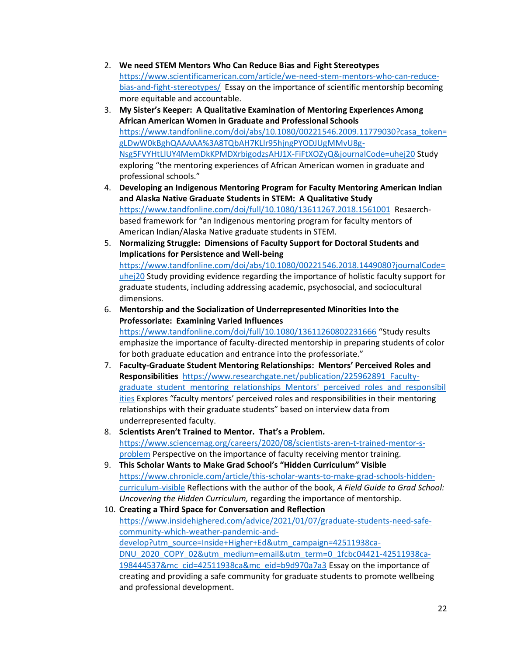- 2. **We need STEM Mentors Who Can Reduce Bias and Fight Stereotypes** [https://www.scientificamerican.com/article/we-need-stem-mentors-who-can-reduce](https://www.scientificamerican.com/article/we-need-stem-mentors-who-can-reduce-bias-and-fight-stereotypes/)[bias-and-fight-stereotypes/](https://www.scientificamerican.com/article/we-need-stem-mentors-who-can-reduce-bias-and-fight-stereotypes/) Essay on the importance of scientific mentorship becoming more equitable and accountable.
- 3. **My Sister's Keeper: A Qualitative Examination of Mentoring Experiences Among African American Women in Graduate and Professional Schools** [https://www.tandfonline.com/doi/abs/10.1080/00221546.2009.11779030?casa\\_token=](https://www.tandfonline.com/doi/abs/10.1080/00221546.2009.11779030?casa_token=gLDwW0kBghQAAAAA%3A8TQbAH7KLlr95hjngPYODJUgMMvU8g-Nsg5FVYHtLlUY4MemDkKPMDXrbigodzsAHJ1X-FiFtXOZyQ&journalCode=uhej20) [gLDwW0kBghQAAAAA%3A8TQbAH7KLlr95hjngPYODJUgMMvU8g-](https://www.tandfonline.com/doi/abs/10.1080/00221546.2009.11779030?casa_token=gLDwW0kBghQAAAAA%3A8TQbAH7KLlr95hjngPYODJUgMMvU8g-Nsg5FVYHtLlUY4MemDkKPMDXrbigodzsAHJ1X-FiFtXOZyQ&journalCode=uhej20)[Nsg5FVYHtLlUY4MemDkKPMDXrbigodzsAHJ1X-FiFtXOZyQ&journalCode=uhej20](https://www.tandfonline.com/doi/abs/10.1080/00221546.2009.11779030?casa_token=gLDwW0kBghQAAAAA%3A8TQbAH7KLlr95hjngPYODJUgMMvU8g-Nsg5FVYHtLlUY4MemDkKPMDXrbigodzsAHJ1X-FiFtXOZyQ&journalCode=uhej20) Study exploring "the mentoring experiences of African American women in graduate and professional schools."
- 4. **Developing an Indigenous Mentoring Program for Faculty Mentoring American Indian and Alaska Native Graduate Students in STEM: A Qualitative Study** <https://www.tandfonline.com/doi/full/10.1080/13611267.2018.1561001>Resaerchbased framework for "an Indigenous mentoring program for faculty mentors of American Indian/Alaska Native graduate students in STEM.
- 5. **Normalizing Struggle: Dimensions of Faculty Support for Doctoral Students and Implications for Persistence and Well-being** [https://www.tandfonline.com/doi/abs/10.1080/00221546.2018.1449080?journalCode=](https://www.tandfonline.com/doi/abs/10.1080/00221546.2018.1449080?journalCode=uhej20) [uhej20](https://www.tandfonline.com/doi/abs/10.1080/00221546.2018.1449080?journalCode=uhej20) Study providing evidence regarding the importance of holistic faculty support for graduate students, including addressing academic, psychosocial, and sociocultural dimensions.
- 6. **Mentorship and the Socialization of Underrepresented Minorities Into the Professoriate: Examining Varied Influences** <https://www.tandfonline.com/doi/full/10.1080/13611260802231666> "Study results emphasize the importance of faculty-directed mentorship in preparing students of color for both graduate education and entrance into the professoriate."
- 7. **Faculty-Graduate Student Mentoring Relationships: Mentors' Perceived Roles and Responsibilities** [https://www.researchgate.net/publication/225962891\\_Faculty](https://www.researchgate.net/publication/225962891_Faculty-graduate_student_mentoring_relationships_Mentors)[graduate\\_student\\_mentoring\\_relationships\\_Mentors'\\_perceived\\_roles\\_and\\_responsibil](https://www.researchgate.net/publication/225962891_Faculty-graduate_student_mentoring_relationships_Mentors) [ities](https://www.researchgate.net/publication/225962891_Faculty-graduate_student_mentoring_relationships_Mentors) Explores "faculty mentors' perceived roles and responsibilities in their mentoring relationships with their graduate students" based on interview data from underrepresented faculty.
- 8. **Scientists Aren't Trained to Mentor. That's a Problem.** [https://www.sciencemag.org/careers/2020/08/scientists-aren-t-trained-mentor-s](https://www.sciencemag.org/careers/2020/08/scientists-aren-t-trained-mentor-s-problem)[problem](https://www.sciencemag.org/careers/2020/08/scientists-aren-t-trained-mentor-s-problem) Perspective on the importance of faculty receiving mentor training.
- 9. **This Scholar Wants to Make Grad School's "Hidden Curriculum" Visible** [https://www.chronicle.com/article/this-scholar-wants-to-make-grad-schools-hidden](https://www.chronicle.com/article/this-scholar-wants-to-make-grad-schools-hidden-curriculum-visible)[curriculum-visible](https://www.chronicle.com/article/this-scholar-wants-to-make-grad-schools-hidden-curriculum-visible) Reflections with the author of the book, *A Field Guide to Grad School: Uncovering the Hidden Curriculum,* regarding the importance of mentorship.
- 10. **Creating a Third Space for Conversation and Reflection** [https://www.insidehighered.com/advice/2021/01/07/graduate-students-need-safe](https://www.insidehighered.com/advice/2021/01/07/graduate-students-need-safe-community-which-weather-pandemic-and-develop?utm_source=Inside+Higher+Ed&utm_campaign=42511938ca-DNU_2020_COPY_02&utm_medium=email&utm_term=0_1fcbc04421-42511938ca-198444537&mc_cid=42511938ca&mc_eid=b9d970a7a3)[community-which-weather-pandemic-and](https://www.insidehighered.com/advice/2021/01/07/graduate-students-need-safe-community-which-weather-pandemic-and-develop?utm_source=Inside+Higher+Ed&utm_campaign=42511938ca-DNU_2020_COPY_02&utm_medium=email&utm_term=0_1fcbc04421-42511938ca-198444537&mc_cid=42511938ca&mc_eid=b9d970a7a3)[develop?utm\\_source=Inside+Higher+Ed&utm\\_campaign=42511938ca-](https://www.insidehighered.com/advice/2021/01/07/graduate-students-need-safe-community-which-weather-pandemic-and-develop?utm_source=Inside+Higher+Ed&utm_campaign=42511938ca-DNU_2020_COPY_02&utm_medium=email&utm_term=0_1fcbc04421-42511938ca-198444537&mc_cid=42511938ca&mc_eid=b9d970a7a3)[DNU\\_2020\\_COPY\\_02&utm\\_medium=email&utm\\_term=0\\_1fcbc04421-42511938ca-](https://www.insidehighered.com/advice/2021/01/07/graduate-students-need-safe-community-which-weather-pandemic-and-develop?utm_source=Inside+Higher+Ed&utm_campaign=42511938ca-DNU_2020_COPY_02&utm_medium=email&utm_term=0_1fcbc04421-42511938ca-198444537&mc_cid=42511938ca&mc_eid=b9d970a7a3)[198444537&mc\\_cid=42511938ca&mc\\_eid=b9d970a7a3](https://www.insidehighered.com/advice/2021/01/07/graduate-students-need-safe-community-which-weather-pandemic-and-develop?utm_source=Inside+Higher+Ed&utm_campaign=42511938ca-DNU_2020_COPY_02&utm_medium=email&utm_term=0_1fcbc04421-42511938ca-198444537&mc_cid=42511938ca&mc_eid=b9d970a7a3) Essay on the importance of creating and providing a safe community for graduate students to promote wellbeing and professional development.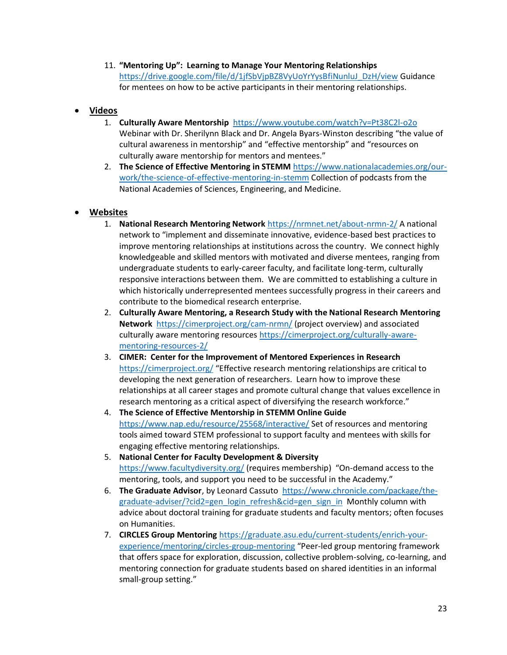11. **"Mentoring Up": Learning to Manage Your Mentoring Relationships**  [https://drive.google.com/file/d/1jfSbVjpBZ8VyUoYrYysBfiNunluJ\\_DzH/view](https://drive.google.com/file/d/1jfSbVjpBZ8VyUoYrYysBfiNunluJ_DzH/view) Guidance for mentees on how to be active participants in their mentoring relationships.

### • **Videos**

- 1. **Culturally Aware Mentorship**<https://www.youtube.com/watch?v=Pt38C2l-o2o> Webinar with Dr. Sherilynn Black and Dr. Angela Byars-Winston describing "the value of cultural awareness in mentorship" and "effective mentorship" and "resources on culturally aware mentorship for mentors and mentees."
- 2. **The Science of Effective Mentoring in STEMM** [https://www.nationalacademies.org/our](https://www.nationalacademies.org/our-work/the-science-of-effective-mentoring-in-stemm)[work/the-science-of-effective-mentoring-in-stemm](https://www.nationalacademies.org/our-work/the-science-of-effective-mentoring-in-stemm) Collection of podcasts from the National Academies of Sciences, Engineering, and Medicine.

### • **Websites**

- 1. **National Research Mentoring Network** <https://nrmnet.net/about-nrmn-2/> A national network to "implement and disseminate innovative, evidence-based best practices to improve mentoring relationships at institutions across the country. We connect highly knowledgeable and skilled mentors with motivated and diverse mentees, ranging from undergraduate students to early-career faculty, and facilitate long-term, culturally responsive interactions between them. We are committed to establishing a culture in which historically underrepresented mentees successfully progress in their careers and contribute to the biomedical research enterprise.
- 2. **Culturally Aware Mentoring, a Research Study with the National Research Mentoring Network** <https://cimerproject.org/cam-nrmn/> (project overview) and associated culturally aware mentoring resources [https://cimerproject.org/culturally-aware](https://cimerproject.org/culturally-aware-mentoring-resources-2/)[mentoring-resources-2/](https://cimerproject.org/culturally-aware-mentoring-resources-2/)
- 3. **CIMER: Center for the Improvement of Mentored Experiences in Research** <https://cimerproject.org/> "Effective research mentoring relationships are critical to developing the next generation of researchers. Learn how to improve these relationships at all career stages and promote cultural change that values excellence in research mentoring as a critical aspect of diversifying the research workforce."
- 4. **The Science of Effective Mentorship in STEMM Online Guide** <https://www.nap.edu/resource/25568/interactive/> Set of resources and mentoring tools aimed toward STEM professional to support faculty and mentees with skills for engaging effective mentoring relationships.
- 5. **National Center for Faculty Development & Diversity** <https://www.facultydiversity.org/> (requires membership) "On-demand access to the mentoring, tools, and support you need to be successful in the Academy."
- 6. **The Graduate Advisor**, by Leonard Cassuto [https://www.chronicle.com/package/the](https://www.chronicle.com/package/the-graduate-adviser/?cid2=gen_login_refresh&cid=gen_sign_in)[graduate-adviser/?cid2=gen\\_login\\_refresh&cid=gen\\_sign\\_in](https://www.chronicle.com/package/the-graduate-adviser/?cid2=gen_login_refresh&cid=gen_sign_in) Monthly column with advice about doctoral training for graduate students and faculty mentors; often focuses on Humanities.
- 7. **CIRCLES Group Mentoring** [https://graduate.asu.edu/current-students/enrich-your](https://graduate.asu.edu/current-students/enrich-your-experience/mentoring/circles-group-mentoring)[experience/mentoring/circles-group-mentoring](https://graduate.asu.edu/current-students/enrich-your-experience/mentoring/circles-group-mentoring) "Peer-led group mentoring framework that offers space for exploration, discussion, collective problem-solving, co-learning, and mentoring connection for graduate students based on shared identities in an informal small-group setting."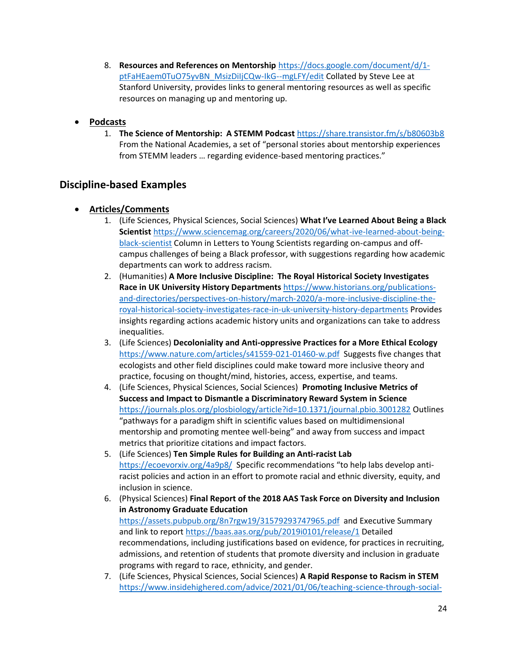8. **Resources and References on Mentorship** [https://docs.google.com/document/d/1](https://docs.google.com/document/d/1-ptFaHEaem0TuO75yvBN_MsizDiIjCQw-IkG--mgLFY/edit) [ptFaHEaem0TuO75yvBN\\_MsizDiIjCQw-IkG--mgLFY/edit](https://docs.google.com/document/d/1-ptFaHEaem0TuO75yvBN_MsizDiIjCQw-IkG--mgLFY/edit) Collated by Steve Lee at Stanford University, provides links to general mentoring resources as well as specific resources on managing up and mentoring up.

## • **Podcasts**

1. **The Science of Mentorship: A STEMM Podcast** <https://share.transistor.fm/s/b80603b8> From the National Academies, a set of "personal stories about mentorship experiences from STEMM leaders … regarding evidence-based mentoring practices."

# **Discipline-based Examples**

- **Articles/Comments**
	- 1. (Life Sciences, Physical Sciences, Social Sciences) **What I've Learned About Being a Black Scientist** [https://www.sciencemag.org/careers/2020/06/what-ive-learned-about-being](https://www.sciencemag.org/careers/2020/06/what-ive-learned-about-being-black-scientist)[black-scientist](https://www.sciencemag.org/careers/2020/06/what-ive-learned-about-being-black-scientist) Column in Letters to Young Scientists regarding on-campus and offcampus challenges of being a Black professor, with suggestions regarding how academic departments can work to address racism.
	- 2. (Humanities) **A More Inclusive Discipline: The Royal Historical Society Investigates Race in UK University History Departments** [https://www.historians.org/publications](https://www.historians.org/publications-and-directories/perspectives-on-history/march-2020/a-more-inclusive-discipline-the-royal-historical-society-investigates-race-in-uk-university-history-departments)[and-directories/perspectives-on-history/march-2020/a-more-inclusive-discipline-the](https://www.historians.org/publications-and-directories/perspectives-on-history/march-2020/a-more-inclusive-discipline-the-royal-historical-society-investigates-race-in-uk-university-history-departments)[royal-historical-society-investigates-race-in-uk-university-history-departments](https://www.historians.org/publications-and-directories/perspectives-on-history/march-2020/a-more-inclusive-discipline-the-royal-historical-society-investigates-race-in-uk-university-history-departments) Provides insights regarding actions academic history units and organizations can take to address inequalities.
	- 3. (Life Sciences) **Decoloniality and Anti-oppressive Practices for a More Ethical Ecology** <https://www.nature.com/articles/s41559-021-01460-w.pdf>Suggests five changes that ecologists and other field disciplines could make toward more inclusive theory and practice, focusing on thought/mind, histories, access, expertise, and teams.
	- 4. (Life Sciences, Physical Sciences, Social Sciences) **Promoting Inclusive Metrics of Success and Impact to Dismantle a Discriminatory Reward System in Science**  <https://journals.plos.org/plosbiology/article?id=10.1371/journal.pbio.3001282> Outlines "pathways for a paradigm shift in scientific values based on multidimensional mentorship and promoting mentee well-being" and away from success and impact metrics that prioritize citations and impact factors.
	- 5. (Life Sciences) **Ten Simple Rules for Building an Anti-racist Lab** <https://ecoevorxiv.org/4a9p8/> Specific recommendations "to help labs develop antiracist policies and action in an effort to promote racial and ethnic diversity, equity, and inclusion in science.
	- 6. (Physical Sciences) **Final Report of the 2018 AAS Task Force on Diversity and Inclusion in Astronomy Graduate Education** <https://assets.pubpub.org/8n7rgw19/31579293747965.pdf>and Executive Summary and link to report<https://baas.aas.org/pub/2019i0101/release/1> Detailed recommendations, including justifications based on evidence, for practices in recruiting, admissions, and retention of students that promote diversity and inclusion in graduate programs with regard to race, ethnicity, and gender.
	- 7. (Life Sciences, Physical Sciences, Social Sciences) **A Rapid Response to Racism in STEM** [https://www.insidehighered.com/advice/2021/01/06/teaching-science-through-social-](https://www.insidehighered.com/advice/2021/01/06/teaching-science-through-social-justice-and-racially-inclusive-lens-opinion?utm_source=Inside+Higher+Ed&utm_campaign=3055b087e4-DNU_2020_COPY_02&utm_medium=email&utm_term=0_1fcbc04421-3055b087e4-198444537&mc_cid=3055b087e4&mc_eid=b9d970a7a3)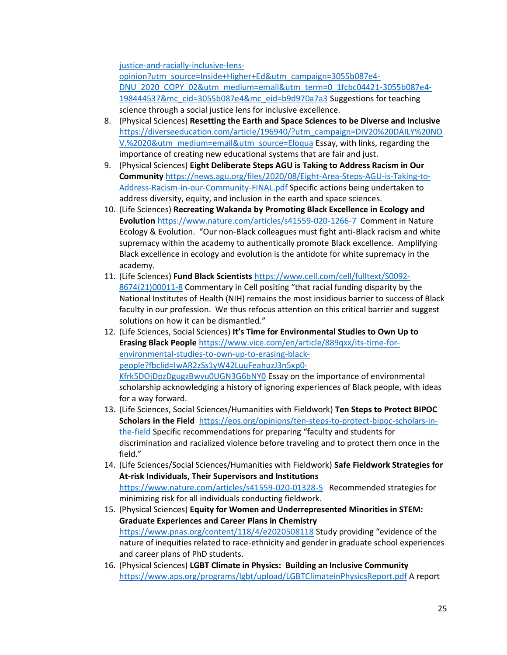[justice-and-racially-inclusive-lens-](https://www.insidehighered.com/advice/2021/01/06/teaching-science-through-social-justice-and-racially-inclusive-lens-opinion?utm_source=Inside+Higher+Ed&utm_campaign=3055b087e4-DNU_2020_COPY_02&utm_medium=email&utm_term=0_1fcbc04421-3055b087e4-198444537&mc_cid=3055b087e4&mc_eid=b9d970a7a3)

[opinion?utm\\_source=Inside+Higher+Ed&utm\\_campaign=3055b087e4-](https://www.insidehighered.com/advice/2021/01/06/teaching-science-through-social-justice-and-racially-inclusive-lens-opinion?utm_source=Inside+Higher+Ed&utm_campaign=3055b087e4-DNU_2020_COPY_02&utm_medium=email&utm_term=0_1fcbc04421-3055b087e4-198444537&mc_cid=3055b087e4&mc_eid=b9d970a7a3) [DNU\\_2020\\_COPY\\_02&utm\\_medium=email&utm\\_term=0\\_1fcbc04421-3055b087e4-](https://www.insidehighered.com/advice/2021/01/06/teaching-science-through-social-justice-and-racially-inclusive-lens-opinion?utm_source=Inside+Higher+Ed&utm_campaign=3055b087e4-DNU_2020_COPY_02&utm_medium=email&utm_term=0_1fcbc04421-3055b087e4-198444537&mc_cid=3055b087e4&mc_eid=b9d970a7a3) [198444537&mc\\_cid=3055b087e4&mc\\_eid=b9d970a7a3](https://www.insidehighered.com/advice/2021/01/06/teaching-science-through-social-justice-and-racially-inclusive-lens-opinion?utm_source=Inside+Higher+Ed&utm_campaign=3055b087e4-DNU_2020_COPY_02&utm_medium=email&utm_term=0_1fcbc04421-3055b087e4-198444537&mc_cid=3055b087e4&mc_eid=b9d970a7a3) Suggestions for teaching science through a social justice lens for inclusive excellence.

- 8. (Physical Sciences) **Resetting the Earth and Space Sciences to be Diverse and Inclusive** [https://diverseeducation.com/article/196940/?utm\\_campaign=DIV20%20DAILY%20NO](https://diverseeducation.com/article/196940/?utm_campaign=DIV20%20DAILY%20NOV.%2020&utm_medium=email&utm_source=Eloqua) [V.%2020&utm\\_medium=email&utm\\_source=Eloqua](https://diverseeducation.com/article/196940/?utm_campaign=DIV20%20DAILY%20NOV.%2020&utm_medium=email&utm_source=Eloqua) Essay, with links, regarding the importance of creating new educational systems that are fair and just.
- 9. (Physical Sciences) **Eight Deliberate Steps AGU is Taking to Address Racism in Our Community** [https://news.agu.org/files/2020/08/Eight-Area-Steps-AGU-is-Taking-to-](https://news.agu.org/files/2020/08/Eight-Area-Steps-AGU-is-Taking-to-Address-Racism-in-our-Community-FINAL.pdf)[Address-Racism-in-our-Community-FINAL.pdf](https://news.agu.org/files/2020/08/Eight-Area-Steps-AGU-is-Taking-to-Address-Racism-in-our-Community-FINAL.pdf) Specific actions being undertaken to address diversity, equity, and inclusion in the earth and space sciences.
- 10. (Life Sciences) **Recreating Wakanda by Promoting Black Excellence in Ecology and Evolution** <https://www.nature.com/articles/s41559-020-1266-7>Comment in Nature Ecology & Evolution. "Our non-Black colleagues must fight anti-Black racism and white supremacy within the academy to authentically promote Black excellence. Amplifying Black excellence in ecology and evolution is the antidote for white supremacy in the academy.
- 11. (Life Sciences) **Fund Black Scientists** [https://www.cell.com/cell/fulltext/S0092-](https://www.cell.com/cell/fulltext/S0092-8674(21)00011-8) [8674\(21\)00011-8](https://www.cell.com/cell/fulltext/S0092-8674(21)00011-8) Commentary in Cell positing "that racial funding disparity by the National Institutes of Health (NIH) remains the most insidious barrier to success of Black faculty in our profession. We thus refocus attention on this critical barrier and suggest solutions on how it can be dismantled."
- 12. (Life Sciences, Social Sciences) **It's Time for Environmental Studies to Own Up to Erasing Black People** [https://www.vice.com/en/article/889qxx/its-time-for](https://www.vice.com/en/article/889qxx/its-time-for-environmental-studies-to-own-up-to-erasing-black-people?fbclid=IwAR2zSs1yW42LuuFeahuzJ3n5xp0-Kfrk5DOjDpzDgugzBwvu0UGN3G6bNY0)[environmental-studies-to-own-up-to-erasing-black](https://www.vice.com/en/article/889qxx/its-time-for-environmental-studies-to-own-up-to-erasing-black-people?fbclid=IwAR2zSs1yW42LuuFeahuzJ3n5xp0-Kfrk5DOjDpzDgugzBwvu0UGN3G6bNY0)[people?fbclid=IwAR2zSs1yW42LuuFeahuzJ3n5xp0-](https://www.vice.com/en/article/889qxx/its-time-for-environmental-studies-to-own-up-to-erasing-black-people?fbclid=IwAR2zSs1yW42LuuFeahuzJ3n5xp0-Kfrk5DOjDpzDgugzBwvu0UGN3G6bNY0) [Kfrk5DOjDpzDgugzBwvu0UGN3G6bNY0](https://www.vice.com/en/article/889qxx/its-time-for-environmental-studies-to-own-up-to-erasing-black-people?fbclid=IwAR2zSs1yW42LuuFeahuzJ3n5xp0-Kfrk5DOjDpzDgugzBwvu0UGN3G6bNY0) Essay on the importance of environmental scholarship acknowledging a history of ignoring experiences of Black people, with ideas for a way forward.
- 13. (Life Sciences, Social Sciences/Humanities with Fieldwork) **Ten Steps to Protect BIPOC Scholars in the Field** [https://eos.org/opinions/ten-steps-to-protect-bipoc-scholars-in](https://eos.org/opinions/ten-steps-to-protect-bipoc-scholars-in-the-field)[the-field](https://eos.org/opinions/ten-steps-to-protect-bipoc-scholars-in-the-field) Specific recommendations for preparing "faculty and students for discrimination and racialized violence before traveling and to protect them once in the field."
- 14. (Life Sciences/Social Sciences/Humanities with Fieldwork) **Safe Fieldwork Strategies for At-risk Individuals, Their Supervisors and Institutions** <https://www.nature.com/articles/s41559-020-01328-5>Recommended strategies for minimizing risk for all individuals conducting fieldwork.
- 15. (Physical Sciences) **Equity for Women and Underrepresented Minorities in STEM: Graduate Experiences and Career Plans in Chemistry** <https://www.pnas.org/content/118/4/e2020508118> Study providing "evidence of the nature of inequities related to race-ethnicity and gender in graduate school experiences and career plans of PhD students.
- 16. (Physical Sciences) **LGBT Climate in Physics: Building an Inclusive Community** <https://www.aps.org/programs/lgbt/upload/LGBTClimateinPhysicsReport.pdf> A report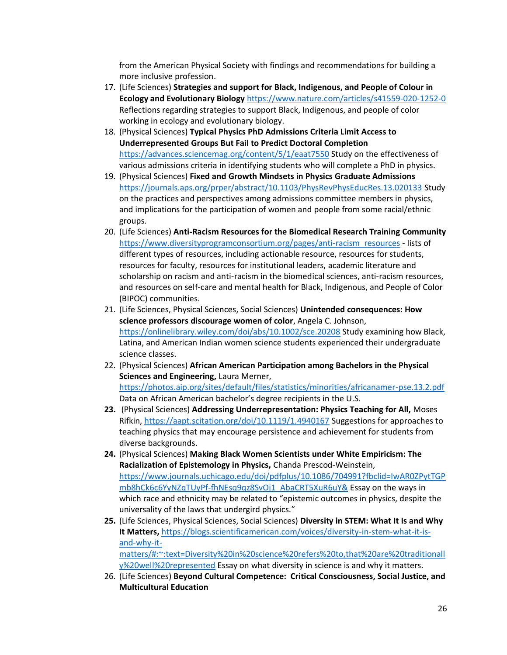from the American Physical Society with findings and recommendations for building a more inclusive profession.

- 17. (Life Sciences) **Strategies and support for Black, Indigenous, and People of Colour in Ecology and Evolutionary Biology** <https://www.nature.com/articles/s41559-020-1252-0> Reflections regarding strategies to support Black, Indigenous, and people of color working in ecology and evolutionary biology.
- 18. (Physical Sciences) **Typical Physics PhD Admissions Criteria Limit Access to Underrepresented Groups But Fail to Predict Doctoral Completion** <https://advances.sciencemag.org/content/5/1/eaat7550> Study on the effectiveness of various admissions criteria in identifying students who will complete a PhD in physics.
- 19. (Physical Sciences) **Fixed and Growth Mindsets in Physics Graduate Admissions** <https://journals.aps.org/prper/abstract/10.1103/PhysRevPhysEducRes.13.020133> Study on the practices and perspectives among admissions committee members in physics, and implications for the participation of women and people from some racial/ethnic groups.
- 20. (Life Sciences) **Anti-Racism Resources for the Biomedical Research Training Community** [https://www.diversityprogramconsortium.org/pages/anti-racism\\_resources](https://www.diversityprogramconsortium.org/pages/anti-racism_resources) - lists of different types of resources, including actionable resource, resources for students, resources for faculty, resources for institutional leaders, academic literature and scholarship on racism and anti-racism in the biomedical sciences, anti-racism resources, and resources on self-care and mental health for Black, Indigenous, and People of Color (BIPOC) communities.
- 21. (Life Sciences, Physical Sciences, Social Sciences) **Unintended consequences: How science professors discourage women of color**, Angela C. Johnson, <https://onlinelibrary.wiley.com/doi/abs/10.1002/sce.20208> Study examining how Black, Latina, and American Indian women science students experienced their undergraduate science classes.
- 22. (Physical Sciences) **African American Participation among Bachelors in the Physical Sciences and Engineering,** Laura Merner, <https://photos.aip.org/sites/default/files/statistics/minorities/africanamer-pse.13.2.pdf> Data on African American bachelor's degree recipients in the U.S.
- **23.** (Physical Sciences) **Addressing Underrepresentation: Physics Teaching for All,** Moses Rifkin,<https://aapt.scitation.org/doi/10.1119/1.4940167> Suggestions for approaches to teaching physics that may encourage persistence and achievement for students from diverse backgrounds.
- **24.** (Physical Sciences) **Making Black Women Scientists under White Empiricism: The Racialization of Epistemology in Physics,** Chanda Prescod-Weinstein, [https://www.journals.uchicago.edu/doi/pdfplus/10.1086/704991?fbclid=IwAR0ZPytTGP](https://www.journals.uchicago.edu/doi/pdfplus/10.1086/704991?fbclid=IwAR0ZPytTGPmb8hCk6c6YyNZqTUyPf-fhNEsq9qz8SvOj1_AbaCRT5XuR6uY&) [mb8hCk6c6YyNZqTUyPf-fhNEsq9qz8SvOj1\\_AbaCRT5XuR6uY&](https://www.journals.uchicago.edu/doi/pdfplus/10.1086/704991?fbclid=IwAR0ZPytTGPmb8hCk6c6YyNZqTUyPf-fhNEsq9qz8SvOj1_AbaCRT5XuR6uY&) Essay on the ways in which race and ethnicity may be related to "epistemic outcomes in physics, despite the universality of the laws that undergird physics."
- **25.** (Life Sciences, Physical Sciences, Social Sciences) **Diversity in STEM: What It Is and Why It Matters,** [https://blogs.scientificamerican.com/voices/diversity-in-stem-what-it-is](https://blogs.scientificamerican.com/voices/diversity-in-stem-what-it-is-and-why-it-matters/#:~:text=Diversity%20in%20science%20refers%20to,that%20are%20traditionally%20well%20represented)[and-why-it](https://blogs.scientificamerican.com/voices/diversity-in-stem-what-it-is-and-why-it-matters/#:~:text=Diversity%20in%20science%20refers%20to,that%20are%20traditionally%20well%20represented)[matters/#:~:text=Diversity%20in%20science%20refers%20to,that%20are%20traditionall](https://blogs.scientificamerican.com/voices/diversity-in-stem-what-it-is-and-why-it-matters/#:~:text=Diversity%20in%20science%20refers%20to,that%20are%20traditionally%20well%20represented) [y%20well%20represented](https://blogs.scientificamerican.com/voices/diversity-in-stem-what-it-is-and-why-it-matters/#:~:text=Diversity%20in%20science%20refers%20to,that%20are%20traditionally%20well%20represented) Essay on what diversity in science is and why it matters.
- 26. (Life Sciences) **Beyond Cultural Competence: Critical Consciousness, Social Justice, and Multicultural Education**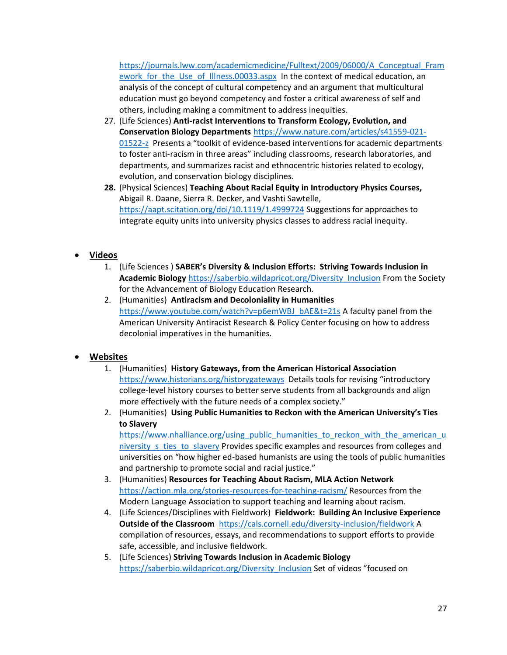[https://journals.lww.com/academicmedicine/Fulltext/2009/06000/A\\_Conceptual\\_Fram](https://journals.lww.com/academicmedicine/Fulltext/2009/06000/A_Conceptual_Framework_for_the_Use_of_Illness.00033.aspx) [ework\\_for\\_the\\_Use\\_of\\_Illness.00033.aspx](https://journals.lww.com/academicmedicine/Fulltext/2009/06000/A_Conceptual_Framework_for_the_Use_of_Illness.00033.aspx) In the context of medical education, an analysis of the concept of cultural competency and an argument that multicultural education must go beyond competency and foster a critical awareness of self and others, including making a commitment to address inequities.

- 27. (Life Sciences) **Anti-racist Interventions to Transform Ecology, Evolution, and Conservation Biology Departments** [https://www.nature.com/articles/s41559-021-](https://www.nature.com/articles/s41559-021-01522-z) [01522-z](https://www.nature.com/articles/s41559-021-01522-z) Presents a "toolkit of evidence-based interventions for academic departments to foster anti-racism in three areas" including classrooms, research laboratories, and departments, and summarizes racist and ethnocentric histories related to ecology, evolution, and conservation biology disciplines.
- **28.** (Physical Sciences) **Teaching About Racial Equity in Introductory Physics Courses,** Abigail R. Daane, Sierra R. Decker, and Vashti Sawtelle, <https://aapt.scitation.org/doi/10.1119/1.4999724> Suggestions for approaches to integrate equity units into university physics classes to address racial inequity.

### • **Videos**

- 1. (Life Sciences ) **SABER's Diversity & Inclusion Efforts: Striving Towards Inclusion in Academic Biology** [https://saberbio.wildapricot.org/Diversity\\_Inclusion](https://saberbio.wildapricot.org/Diversity_Inclusion) From the Society for the Advancement of Biology Education Research.
- 2. (Humanities) **Antiracism and Decoloniality in Humanities** [https://www.youtube.com/watch?v=p6emWBJ\\_bAE&t=21s](https://www.youtube.com/watch?v=p6emWBJ_bAE&t=21s) A faculty panel from the American University Antiracist Research & Policy Center focusing on how to address decolonial imperatives in the humanities.

### • **Websites**

- 1. (Humanities) **History Gateways, from the American Historical Association**  <https://www.historians.org/historygateways> Details tools for revising "introductory college-level history courses to better serve students from all backgrounds and align more effectively with the future needs of a complex society."
- 2. (Humanities) **Using Public Humanities to Reckon with the American University's Ties to Slavery**

[https://www.nhalliance.org/using\\_public\\_humanities\\_to\\_reckon\\_with\\_the\\_american\\_u](https://www.nhalliance.org/using_public_humanities_to_reckon_with_the_american_university_s_ties_to_slavery) niversity s ties to slavery Provides specific examples and resources from colleges and universities on "how higher ed-based humanists are using the tools of public humanities and partnership to promote social and racial justice."

- 3. (Humanities) **Resources for Teaching About Racism, MLA Action Network** <https://action.mla.org/stories-resources-for-teaching-racism/> Resources from the Modern Language Association to support teaching and learning about racism.
- 4. (Life Sciences/Disciplines with Fieldwork) **Fieldwork: Building An Inclusive Experience Outside of the Classroom** <https://cals.cornell.edu/diversity-inclusion/fieldwork> A compilation of resources, essays, and recommendations to support efforts to provide safe, accessible, and inclusive fieldwork.
- 5. (Life Sciences) **Striving Towards Inclusion in Academic Biology** [https://saberbio.wildapricot.org/Diversity\\_Inclusion](https://saberbio.wildapricot.org/Diversity_Inclusion) Set of videos "focused on